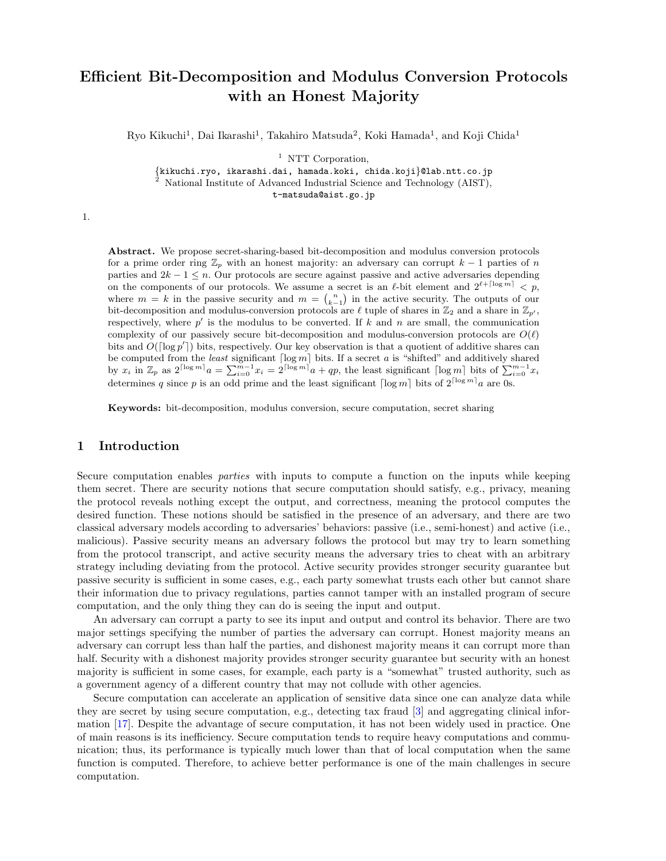# **Efficient Bit-Decomposition and Modulus Conversion Protocols with an Honest Majority**

Ryo Kikuchi<sup>1</sup>, Dai Ikarashi<sup>1</sup>, Takahiro Matsuda<sup>2</sup>, Koki Hamada<sup>1</sup>, and Koji Chida<sup>1</sup>

<sup>1</sup> NTT Corporation,

*{*kikuchi.ryo, ikarashi.dai, hamada.koki, chida.koji*}*@lab.ntt.co.jp <sup>2</sup> National Institute of Advanced Industrial Science and Technology (AIST),

t-matsuda@aist.go.jp

1.

**Abstract.** We propose secret-sharing-based bit-decomposition and modulus conversion protocols for a prime order ring  $\mathbb{Z}_p$  with an honest majority: an adversary can corrupt  $k-1$  parties of *n* parties and 2*k −* 1 *≤ n*. Our protocols are secure against passive and active adversaries depending on the components of our protocols. We assume a secret is an  $\ell$ -bit element and  $2^{\ell + \lceil \log m \rceil} < p$ , where  $m = k$  in the passive security and  $m = {n \choose k-1}$  in the active security. The outputs of our bit-decomposition and modulus-conversion protocols are  $\ell$  tuple of shares in  $\mathbb{Z}_2$  and a share in  $\mathbb{Z}_{p'}$ , respectively, where  $p'$  is the modulus to be converted. If  $k$  and  $n$  are small, the communication complexity of our passively secure bit-decomposition and modulus-conversion protocols are  $O(\ell)$ bits and  $O(\lceil \log p' \rceil)$  bits, respectively. Our key observation is that a quotient of additive shares can be computed from the *least* significant  $\lceil \log m \rceil$  bits. If a secret *a* is "shifted" and additively shared by  $x_i$  in  $\mathbb{Z}_p$  as  $2^{\lceil \log m \rceil} a = \sum_{i=0}^{m-1} x_i = 2^{\lceil \log m \rceil} a + qp$ , the least significant  $\lceil \log m \rceil$  bits of  $\sum_{i=0}^{m-1} x_i$ determines *q* since *p* is an odd prime and the least significant  $\lceil \log m \rceil$  bits of  $2^{\lceil \log m \rceil} a$  are 0s.

**Keywords:** bit-decomposition, modulus conversion, secure computation, secret sharing

# **1 Introduction**

Secure computation enables *parties* with inputs to compute a function on the inputs while keeping them secret. There are security notions that secure computation should satisfy, e.g., privacy, meaning the protocol reveals nothing except the output, and correctness, meaning the protocol computes the desired function. These notions should be satisfied in the presence of an adversary, and there are two classical adversary models according to adversaries' behaviors: passive (i.e., semi-honest) and active (i.e., malicious). Passive security means an adversary follows the protocol but may try to learn something from the protocol transcript, and active security means the adversary tries to cheat with an arbitrary strategy including deviating from the protocol. Active security provides stronger security guarantee but passive security is sufficient in some cases, e.g., each party somewhat trusts each other but cannot share their information due to privacy regulations, parties cannot tamper with an installed program of secure computation, and the only thing they can do is seeing the input and output.

An adversary can corrupt a party to see its input and output and control its behavior. There are two major settings specifying the number of parties the adversary can corrupt. Honest majority means an adversary can corrupt less than half the parties, and dishonest majority means it can corrupt more than half. Security with a dishonest majority provides stronger security guarantee but security with an honest majority is sufficient in some cases, for example, each party is a "somewhat" trusted authority, such as a government agency of a different country that may not collude with other agencies.

Secure computation can accelerate an application of sensitive data since one can analyze data while they are secret by using secure computation, e.g., detecting tax fraud [[3](#page-12-0)] and aggregating clinical information [[17\]](#page-13-0). Despite the advantage of secure computation, it has not been widely used in practice. One of main reasons is its inefficiency. Secure computation tends to require heavy computations and communication; thus, its performance is typically much lower than that of local computation when the same function is computed. Therefore, to achieve better performance is one of the main challenges in secure computation.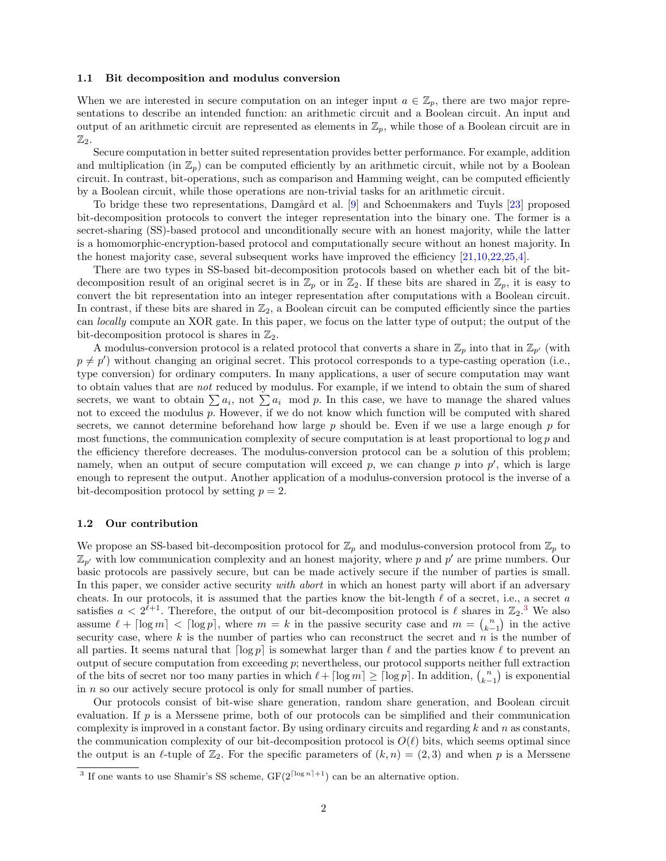#### **1.1 Bit decomposition and modulus conversion**

When we are interested in secure computation on an integer input  $a \in \mathbb{Z}_p$ , there are two major representations to describe an intended function: an arithmetic circuit and a Boolean circuit. An input and output of an arithmetic circuit are represented as elements in  $\mathbb{Z}_p$ , while those of a Boolean circuit are in  $\mathbb{Z}_2$ .

Secure computation in better suited representation provides better performance. For example, addition and multiplication (in  $\mathbb{Z}_p$ ) can be computed efficiently by an arithmetic circuit, while not by a Boolean circuit. In contrast, bit-operations, such as comparison and Hamming weight, can be computed efficiently by a Boolean circuit, while those operations are non-trivial tasks for an arithmetic circuit.

To bridge these two representations, Damgård et al. [[9\]](#page-12-1) and Schoenmakers and Tuyls [[23\]](#page-13-1) proposed bit-decomposition protocols to convert the integer representation into the binary one. The former is a secret-sharing (SS)-based protocol and unconditionally secure with an honest majority, while the latter is a homomorphic-encryption-based protocol and computationally secure without an honest majority. In the honest majority case, several subsequent works have improved the efficiency [[21,](#page-13-2)[10](#page-12-2),[22,](#page-13-3)[25](#page-13-4)[,4](#page-12-3)].

There are two types in SS-based bit-decomposition protocols based on whether each bit of the bitdecomposition result of an original secret is in  $\mathbb{Z}_p$  or in  $\mathbb{Z}_2$ . If these bits are shared in  $\mathbb{Z}_p$ , it is easy to convert the bit representation into an integer representation after computations with a Boolean circuit. In contrast, if these bits are shared in  $\mathbb{Z}_2$ , a Boolean circuit can be computed efficiently since the parties can *locally* compute an XOR gate. In this paper, we focus on the latter type of output; the output of the bit-decomposition protocol is shares in  $\mathbb{Z}_2$ .

A modulus-conversion protocol is a related protocol that converts a share in  $\mathbb{Z}_p$  into that in  $\mathbb{Z}_{p'}$  (with  $p \neq p'$ ) without changing an original secret. This protocol corresponds to a type-casting operation (i.e., type conversion) for ordinary computers. In many applications, a user of secure computation may want to obtain values that are *not* reduced by modulus. For example, if we intend to obtain the sum of shared secrets, we want to obtain  $\sum a_i$ , not  $\sum a_i$  mod *p*. In this case, we have to manage the shared values not to exceed the modulus *p*. However, if we do not know which function will be computed with shared secrets, we cannot determine beforehand how large *p* should be. Even if we use a large enough *p* for most functions, the communication complexity of secure computation is at least proportional to log *p* and the efficiency therefore decreases. The modulus-conversion protocol can be a solution of this problem; namely, when an output of secure computation will exceed  $p$ , we can change  $p$  into  $p'$ , which is large enough to represent the output. Another application of a modulus-conversion protocol is the inverse of a bit-decomposition protocol by setting  $p = 2$ .

#### **1.2 Our contribution**

We propose an SS-based bit-decomposition protocol for  $\mathbb{Z}_p$  and modulus-conversion protocol from  $\mathbb{Z}_p$  to  $\mathbb{Z}_{p'}$  with low communication complexity and an honest majority, where p and  $p'$  are prime numbers. Our basic protocols are passively secure, but can be made actively secure if the number of parties is small. In this paper, we consider active security *with abort* in which an honest party will abort if an adversary cheats. In our protocols, it is assumed that the parties know the bit-length *ℓ* of a secret, i.e., a secret *a* satisfies  $a < 2^{\ell+1}$ . Therefore, the output of our bit-decomposition protocol is  $\ell$  shares in  $\mathbb{Z}_2$ .<sup>[3](#page-1-0)</sup> We also assume  $\ell + \lceil \log m \rceil < \lceil \log p \rceil$ , where  $m = k$  in the passive security case and  $m = {n \choose k-1}$  in the active security case, where *k* is the number of parties who can reconstruct the secret and *n* is the number of all parties. It seems natural that  $\lceil \log p \rceil$  is somewhat larger than  $\ell$  and the parties know  $\ell$  to prevent an output of secure computation from exceeding *p*; nevertheless, our protocol supports neither full extraction of the bits of secret nor too many parties in which  $\ell + \lceil \log m \rceil \geq \lceil \log p \rceil$ . In addition,  $\binom{n}{k-1}$  is exponential in *n* so our actively secure protocol is only for small number of parties.

Our protocols consist of bit-wise share generation, random share generation, and Boolean circuit evaluation. If  $p$  is a Merssene prime, both of our protocols can be simplified and their communication complexity is improved in a constant factor. By using ordinary circuits and regarding *k* and *n* as constants, the communication complexity of our bit-decomposition protocol is  $O(\ell)$  bits, which seems optimal since the output is an *ℓ*-tuple of  $\mathbb{Z}_2$ . For the specific parameters of  $(k, n) = (2, 3)$  and when *p* is a Merssene

<span id="page-1-0"></span><sup>&</sup>lt;sup>3</sup> If one wants to use Shamir's SS scheme,  $GF(2^{\lceil \log n \rceil + 1})$  can be an alternative option.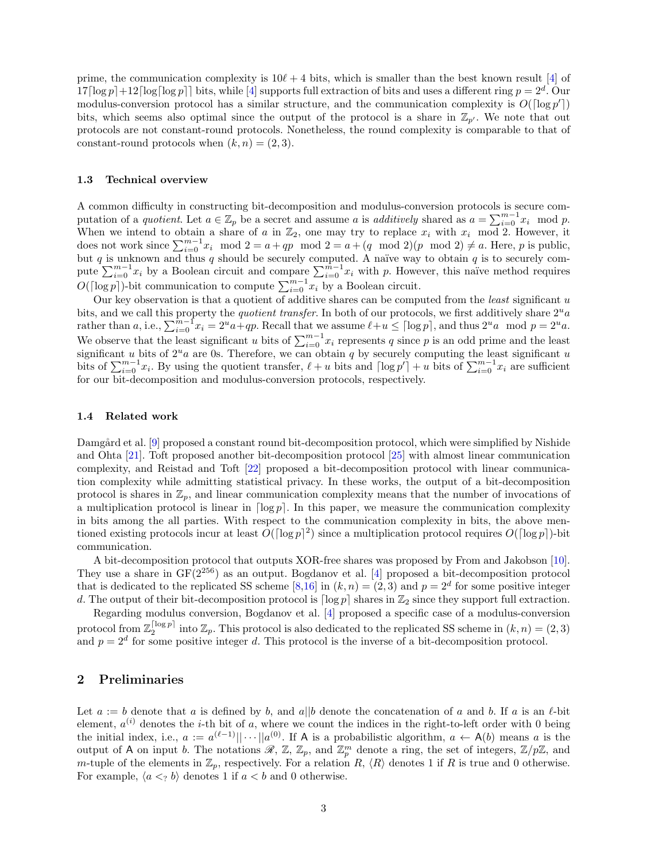prime, the communication complexity is  $10\ell + 4$  $10\ell + 4$  bits, which is smaller than the best known result [4] of  $17\lceil\log p\rceil + 12\lceil\log \lceil\log p\rceil\rceil$  bits, while [[4\]](#page-12-3) supports full extraction of bits and uses a different ring  $p = 2^d$ . Our modulus-conversion protocol has a similar structure, and the communication complexity is  $O(\lceil \log p' \rceil)$ bits, which seems also optimal since the output of the protocol is a share in  $\mathbb{Z}_{p'}$ . We note that out protocols are not constant-round protocols. Nonetheless, the round complexity is comparable to that of constant-round protocols when  $(k, n) = (2, 3)$ .

#### **1.3 Technical overview**

A common difficulty in constructing bit-decomposition and modulus-conversion protocols is secure computation of a *quotient*. Let  $a \in \mathbb{Z}_p$  be a secret and assume *a* is *additively* shared as  $a = \sum_{i=0}^{m-1} x_i \mod p$ . When we intend to obtain a share of *a* in  $\mathbb{Z}_2$ , one may try to replace  $x_i$  with  $x_i$  mod 2. However, it does not work since  $\sum_{i=0}^{m-1} x_i \mod 2 = a + qp \mod 2 = a + (q \mod 2)(p \mod 2) \neq a$ . Here, *p* is public, but  $q$  is unknown and thus  $q$  should be securely computed. A naïve way to obtain  $q$  is to securely compute  $\sum_{i=0}^{m-1} x_i$  by a Boolean circuit and compare  $\sum_{i=0}^{m-1} x_i$  with *p*. However, this naïve method requires *O*( $\lceil \log p \rceil$ )-bit communication to compute  $\sum_{i=0}^{m-1} x_i$  by a Boolean circuit.

Our key observation is that a quotient of additive shares can be computed from the *least* significant *u* bits, and we call this property the *quotient transfer*. In both of our protocols, we first additively share 2*ua* rather than a, i.e.,  $\sum_{i=0}^{m-1} x_i = 2^u a + qp$ . Recall that we assume  $\ell + u \leq \lceil \log p \rceil$ , and thus  $2^u a \mod p = 2^u a$ . We observe that the least significant *u* bits of  $\sum_{i=0}^{m-1} x_i$  represents *q* since *p* is an odd prime and the least significant *u* bits of  $2^u a$  are 0s. Therefore, we can obtain *q* by securely computing the least significant *u* bits of  $\sum_{i=0}^{m-1} x_i$ . By using the quotient transfer,  $\ell + u$  bits and  $\lceil \log p' \rceil + u$  bits of  $\sum_{i=0}^{m-1} x_i$  are sufficient for our bit-decomposition and modulus-conversion protocols, respectively.

### **1.4 Related work**

Damgård et al. [[9\]](#page-12-1) proposed a constant round bit-decomposition protocol, which were simplified by Nishide and Ohta [[21](#page-13-2)]. Toft proposed another bit-decomposition protocol [[25\]](#page-13-4) with almost linear communication complexity, and Reistad and Toft [[22\]](#page-13-3) proposed a bit-decomposition protocol with linear communication complexity while admitting statistical privacy. In these works, the output of a bit-decomposition protocol is shares in  $\mathbb{Z}_p$ , and linear communication complexity means that the number of invocations of a multiplication protocol is linear in  $\lceil \log p \rceil$ . In this paper, we measure the communication complexity in bits among the all parties. With respect to the communication complexity in bits, the above mentioned existing protocols incur at least  $O(\lceil \log p \rceil^2)$  since a multiplication protocol requires  $O(\lceil \log p \rceil)$ -bit communication.

A bit-decomposition protocol that outputs XOR-free shares was proposed by From and Jakobson [[10\]](#page-12-2). They use a share in  $GF(2^{256})$  as an output. Bogdanov et al. [[4\]](#page-12-3) proposed a bit-decomposition protocol that is dedicated to the replicated SS scheme [[8,](#page-12-4)[16](#page-12-5)] in  $(k, n) = (2, 3)$  and  $p = 2<sup>d</sup>$  for some positive integer *d*. The output of their bit-decomposition protocol is  $\lceil \log p \rceil$  shares in  $\mathbb{Z}_2$  since they support full extraction.

Regarding modulus conversion, Bogdanov et al. [[4\]](#page-12-3) proposed a specific case of a modulus-conversion protocol from  $\mathbb{Z}_2^{\lceil \log p \rceil}$  into  $\mathbb{Z}_p$ . This protocol is also dedicated to the replicated SS scheme in  $(k, n) = (2, 3)$ and  $p = 2^d$  for some positive integer *d*. This protocol is the inverse of a bit-decomposition protocol.

## **2 Preliminaries**

Let  $a := b$  denote that  $a$  is defined by  $b$ , and  $a||b$  denote the concatenation of  $a$  and  $b$ . If  $a$  is an  $\ell$ -bit element,  $a^{(i)}$  denotes the *i*-th bit of *a*, where we count the indices in the right-to-left order with 0 being the initial index, i.e.,  $a := a^{(\ell-1)} || \cdots || a^{(0)}$ . If A is a probabilistic algorithm,  $a \leftarrow A(b)$  means *a* is the output of A on input *b*. The notations  $\mathscr{R}, \mathbb{Z}, \mathbb{Z}_p$ , and  $\mathbb{Z}_p^m$  denote a ring, the set of integers,  $\mathbb{Z}/p\mathbb{Z}$ , and *m*-tuple of the elements in  $\mathbb{Z}_p$ , respectively. For a relation  $R$ ,  $\langle R \rangle$  denotes 1 if  $R$  is true and 0 otherwise. For example,  $\langle a \langle a \rangle b \rangle$  denotes 1 if  $a \langle b \rangle$  and 0 otherwise.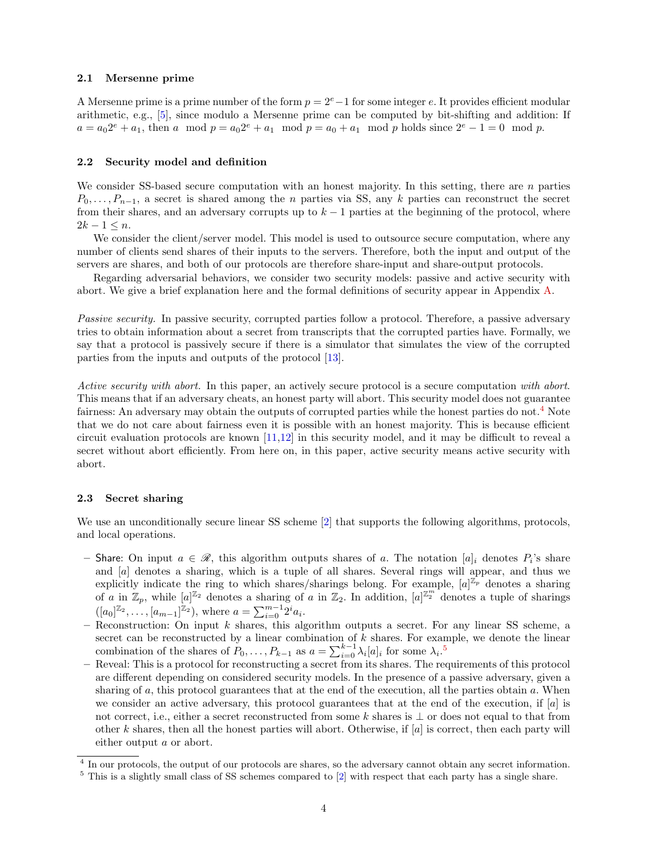## **2.1 Mersenne prime**

A Mersenne prime is a prime number of the form *p* = 2*e−*1 for some integer *e*. It provides efficient modular arithmetic, e.g., [\[5](#page-12-6)], since modulo a Mersenne prime can be computed by bit-shifting and addition: If  $a = a_0 2^e + a_1$ , then *a* mod  $p = a_0 2^e + a_1$  mod  $p = a_0 + a_1$  mod *p* holds since  $2^e - 1 = 0$  mod *p*.

#### **2.2 Security model and definition**

We consider SS-based secure computation with an honest majority. In this setting, there are *n* parties  $P_0, \ldots, P_{n-1}$ , a secret is shared among the *n* parties via SS, any *k* parties can reconstruct the secret from their shares, and an adversary corrupts up to  $k-1$  parties at the beginning of the protocol, where  $2k - 1 \leq n$ .

We consider the client/server model. This model is used to outsource secure computation, where any number of clients send shares of their inputs to the servers. Therefore, both the input and output of the servers are shares, and both of our protocols are therefore share-input and share-output protocols.

Regarding adversarial behaviors, we consider two security models: passive and active security with abort. We give a brief explanation here and the formal definitions of security appear in Appendix [A](#page-13-5).

*Passive security.* In passive security, corrupted parties follow a protocol. Therefore, a passive adversary tries to obtain information about a secret from transcripts that the corrupted parties have. Formally, we say that a protocol is passively secure if there is a simulator that simulates the view of the corrupted parties from the inputs and outputs of the protocol [[13](#page-12-7)].

*Active security with abort.* In this paper, an actively secure protocol is a secure computation *with abort*. This means that if an adversary cheats, an honest party will abort. This security model does not guarantee fairness: An adversary may obtain the outputs of corrupted parties while the honest parties do not.<sup>[4](#page-3-0)</sup> Note that we do not care about fairness even it is possible with an honest majority. This is because efficient circuit evaluation protocols are known [[11,](#page-12-8)[12\]](#page-12-9) in this security model, and it may be difficult to reveal a secret without abort efficiently. From here on, in this paper, active security means active security with abort.

#### **2.3 Secret sharing**

We use an unconditionally secure linear SS scheme [[2\]](#page-12-10) that supports the following algorithms, protocols, and local operations.

- **–** Share: On input *a ∈ R*, this algorithm outputs shares of *a*. The notation [*a*]*<sup>i</sup>* denotes *P<sup>i</sup>* 's share and [*a*] denotes a sharing, which is a tuple of all shares. Several rings will appear, and thus we explicitly indicate the ring to which shares/sharings belong. For example,  $[a]^{\mathbb{Z}_p}$  denotes a sharing of *a* in  $\mathbb{Z}_p$ , while  $[a]^{\mathbb{Z}_2}$  denotes a sharing of *a* in  $\mathbb{Z}_2$ . In addition,  $[a]^{\mathbb{Z}_2^m}$  denotes a tuple of sharings  $([a_0]^{\mathbb{Z}_2}, \ldots, [a_{m-1}]^{\mathbb{Z}_2}),$  where  $a = \sum_{i=0}^{m-1} 2^i a_i$ .
- **–** Reconstruction: On input *k* shares, this algorithm outputs a secret. For any linear SS scheme, a secret can be reconstructed by a linear combination of *k* shares. For example, we denote the linear combination of the shares of  $P_0, \ldots, P_{k-1}$  as  $a = \sum_{i=0}^{k-1} \lambda_i [a]_i$  for some  $\lambda_i$ .<sup>[5](#page-3-1)</sup>
- **–** Reveal: This is a protocol for reconstructing a secret from its shares. The requirements of this protocol are different depending on considered security models. In the presence of a passive adversary, given a sharing of *a*, this protocol guarantees that at the end of the execution, all the parties obtain *a*. When we consider an active adversary, this protocol guarantees that at the end of the execution, if [*a*] is not correct, i.e., either a secret reconstructed from some *k* shares is *⊥* or does not equal to that from other *k* shares, then all the honest parties will abort. Otherwise, if [*a*] is correct, then each party will either output *a* or abort.

<span id="page-3-0"></span><sup>&</sup>lt;sup>4</sup> In our protocols, the output of our protocols are shares, so the adversary cannot obtain any secret information.

<span id="page-3-1"></span><sup>5</sup> This is a slightly small class of SS schemes compared to [[2](#page-12-10)] with respect that each party has a single share.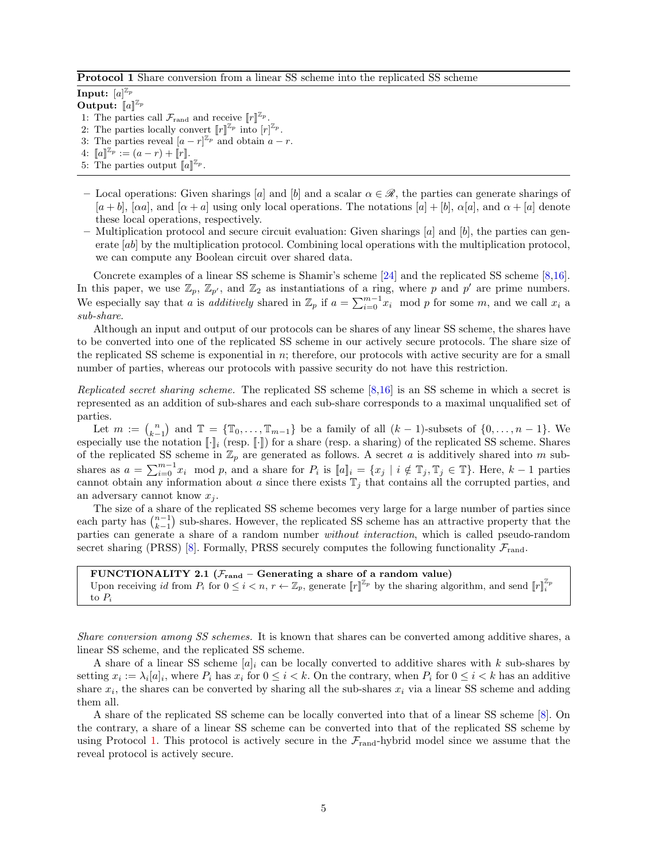<span id="page-4-0"></span>**Protocol 1** Share conversion from a linear SS scheme into the replicated SS scheme

 $\mathbf{Input: } \; [a]^{\mathbb{Z}_p}$ **Output:**  $[a]^{\mathbb{Z}_p}$ 

- 1: The parties call  $\mathcal{F}_{\text{rand}}$  and receive  $\llbracket r \rrbracket^{\mathbb{Z}_p}$ .
- 2: The parties locally convert  $\llbracket r \rrbracket^{\mathbb{Z}_p}$  into  $\llbracket r \rrbracket^{\mathbb{Z}_p}$ .
- 3: The parties reveal  $[a r]^{\mathbb{Z}_p}$  and obtain  $a r$ .
- $4: \llbracket a \rrbracket^{\mathbb{Z}_p} := (a r) + \llbracket r \rrbracket.$
- 5: The parties output  $\llbracket a \rrbracket^{\mathbb{Z}_p}$ .
- **–** Local operations: Given sharings [*a*] and [*b*] and a scalar *α ∈ R*, the parties can generate sharings of  $[a + b]$ ,  $[\alpha a]$ , and  $[\alpha + a]$  using only local operations. The notations  $[a] + [b]$ ,  $\alpha[a]$ , and  $\alpha + [a]$  denote these local operations, respectively.
- **–** Multiplication protocol and secure circuit evaluation: Given sharings [*a*] and [*b*], the parties can generate [*ab*] by the multiplication protocol. Combining local operations with the multiplication protocol, we can compute any Boolean circuit over shared data.

Concrete examples of a linear SS scheme is Shamir's scheme [[24\]](#page-13-6) and the replicated SS scheme [\[8](#page-12-4),[16\]](#page-12-5). In this paper, we use  $\mathbb{Z}_p$ ,  $\mathbb{Z}_{p'}$ , and  $\mathbb{Z}_2$  as instantiations of a ring, where p and p' are prime numbers. We especially say that *a* is *additively* shared in  $\mathbb{Z}_p$  if  $a = \sum_{i=0}^{m-1} x_i$  mod *p* for some *m*, and we call  $x_i$  a *sub-share*.

Although an input and output of our protocols can be shares of any linear SS scheme, the shares have to be converted into one of the replicated SS scheme in our actively secure protocols. The share size of the replicated SS scheme is exponential in *n*; therefore, our protocols with active security are for a small number of parties, whereas our protocols with passive security do not have this restriction.

*Replicated secret sharing scheme.* The replicated SS scheme [\[8](#page-12-4),[16\]](#page-12-5) is an SS scheme in which a secret is represented as an addition of sub-shares and each sub-share corresponds to a maximal unqualified set of parties.

Let  $m := {n \choose k-1}$  and  $\mathbb{T} = {\mathbb{T}_0, ..., \mathbb{T}_{m-1}}$  be a family of all  $(k-1)$ -subsets of  $\{0, ..., n-1\}$ . We especially use the notation  $[\![\cdot]\!]_i$  (resp.  $[\![\cdot]\!]$ ) for a share (resp. a sharing) of the replicated SS scheme. Shares of the replicated SS scheme in  $\mathbb{Z}_p$  are generated as follows. A secret *a* is additively shared into *m* subshares as  $a = \sum_{i=0}^{m-1} x_i$  mod p, and a share for  $P_i$  is  $[[a]]_i = \{x_j \mid i \notin \mathbb{T}_j, \mathbb{T}_j \in \mathbb{T}\}\.$  Here,  $k-1$  parties cannot obtain any information about  $a$  since there exists  $\mathbb{T}_j$  that contains all the corrupted parties, and an adversary cannot know *x<sup>j</sup>* .

The size of a share of the replicated SS scheme becomes very large for a large number of parties since each party has  $\binom{n-1}{k-1}$  sub-shares. However, the replicated SS scheme has an attractive property that the parties can generate a share of a random number *without interaction*, which is called pseudo-random secret sharing (PRSS) [\[8](#page-12-4)]. Formally, PRSS securely computes the following functionality  $\mathcal{F}_{\text{rand}}$ .

**FUNCTIONALITY 2.1** ( $\mathcal{F}_{\text{rand}}$  – Generating a share of a random value) Upon receiving *id* from  $P_i$  for  $0 \le i < n, r \leftarrow \mathbb{Z}_p$ , generate  $[[r]]^{\mathbb{Z}_p}$  by the sharing algorithm, and send  $[[r]]^{\mathbb{Z}_p}$ to *P<sup>i</sup>*

*Share conversion among SS schemes.* It is known that shares can be converted among additive shares, a linear SS scheme, and the replicated SS scheme.

A share of a linear SS scheme  $[a]_i$  can be locally converted to additive shares with k sub-shares by setting  $x_i := \lambda_i[a]_i$ , where  $P_i$  has  $x_i$  for  $0 \leq i \leq k$ . On the contrary, when  $P_i$  for  $0 \leq i \leq k$  has an additive share  $x_i$ , the shares can be converted by sharing all the sub-shares  $x_i$  via a linear SS scheme and adding them all.

A share of the replicated SS scheme can be locally converted into that of a linear SS scheme [[8](#page-12-4)]. On the contrary, a share of a linear SS scheme can be converted into that of the replicated SS scheme by using Protocol [1.](#page-4-0) This protocol is actively secure in the  $\mathcal{F}_{rand}$ -hybrid model since we assume that the reveal protocol is actively secure.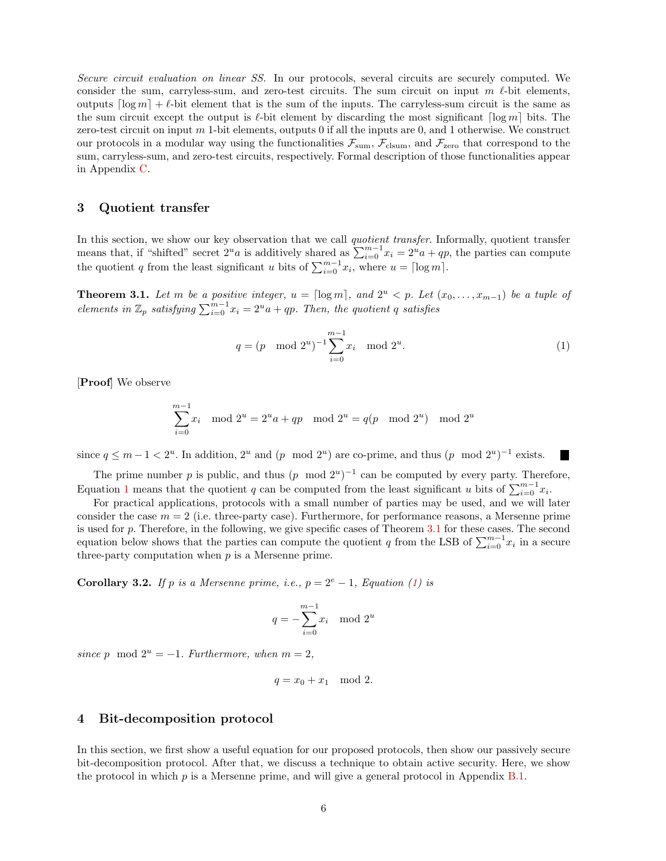*Secure circuit evaluation on linear SS.* In our protocols, several circuits are securely computed. We consider the sum, carryless-sum, and zero-test circuits. The sum circuit on input  $m \ell$ -bit elements, outputs  $\lceil \log m \rceil + \ell$ -bit element that is the sum of the inputs. The carryless-sum circuit is the same as the sum circuit except the output is *ℓ*-bit element by discarding the most significant *⌈*log *m⌉* bits. The zero-test circuit on input *m* 1-bit elements, outputs 0 if all the inputs are 0, and 1 otherwise. We construct our protocols in a modular way using the functionalities  $\mathcal{F}_{\text{sum}}$ ,  $\mathcal{F}_{\text{clsum}}$ , and  $\mathcal{F}_{\text{zero}}$  that correspond to the sum, carryless-sum, and zero-test circuits, respectively. Formal description of those functionalities appear in Appendix [C](#page-15-0).

## **3 Quotient transfer**

In this section, we show our key observation that we call *quotient transfer*. Informally, quotient transfer means that, if "shifted" secret  $2^u a$  is additively shared as  $\sum_{i=0}^{m-1} x_i = 2^u a + qp$ , the parties can compute the quotient *q* from the least significant *u* bits of  $\sum_{i=0}^{m-1} x_i$ , where  $u = \lceil \log m \rceil$ .

<span id="page-5-1"></span>**Theorem 3.1.** Let m be a positive integer,  $u = \lceil \log m \rceil$ , and  $2^u < p$ . Let  $(x_0, \ldots, x_{m-1})$  be a tuple of *elements in*  $\mathbb{Z}_p$  *satisfying*  $\sum_{i=0}^{m-1} x_i = 2^u a + qp$ *. Then, the quotient q satisfies* 

<span id="page-5-0"></span>
$$
q = (p \mod 2^u)^{-1} \sum_{i=0}^{m-1} x_i \mod 2^u.
$$
 (1)

[**Proof**] We observe

$$
\sum_{i=0}^{m-1} x_i \mod 2^u = 2^u a + qp \mod 2^u = q(p \mod 2^u) \mod 2^u
$$

since  $q \leq m-1 < 2^u$ . In addition,  $2^u$  and  $(p \mod 2^u)$  are co-prime, and thus  $(p \mod 2^u)^{-1}$  exists. **The Second Second** 

The prime number *p* is public, and thus  $(p \mod 2^u)^{-1}$  can be computed by every party. Therefore, Equation [1](#page-5-0) means that the quotient *q* can be computed from the least significant *u* bits of  $\sum_{i=0}^{m-1} x_i$ .

For practical applications, protocols with a small number of parties may be used, and we will later consider the case  $m = 2$  (i.e. three-party case). Furthermore, for performance reasons, a Mersenne prime is used for *p*. Therefore, in the following, we give specific cases of Theorem [3.1](#page-5-1) for these cases. The second equation below shows that the parties can compute the quotient *q* from the LSB of  $\sum_{i=0}^{m-1} x_i$  in a secure three-party computation when *p* is a Mersenne prime.

**Corollary 3.2.** *If*  $p$  *is a Mersenne prime, i.e.,*  $p = 2^e - 1$ *, Equation ([1\)](#page-5-0) is* 

$$
q = -\sum_{i=0}^{m-1} x_i \mod 2^u
$$

*since p* mod  $2^u = -1$ *. Furthermore, when*  $m = 2$ *,* 

$$
q = x_0 + x_1 \mod 2.
$$

## **4 Bit-decomposition protocol**

In this section, we first show a useful equation for our proposed protocols, then show our passively secure bit-decomposition protocol. After that, we discuss a technique to obtain active security. Here, we show the protocol in which *p* is a Mersenne prime, and will give a general protocol in Appendix [B.1.](#page-15-1)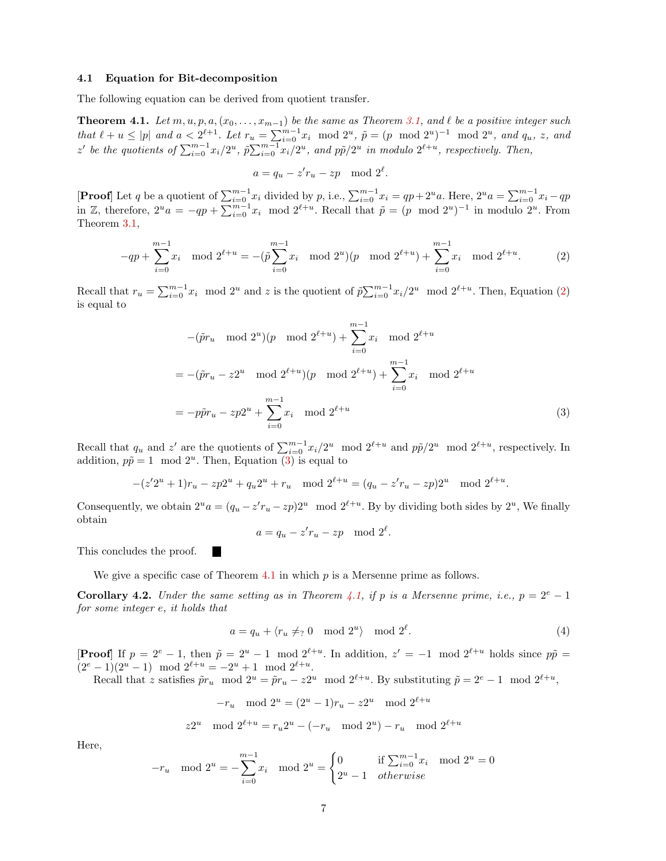#### **4.1 Equation for Bit-decomposition**

<span id="page-6-2"></span>The following equation can be derived from quotient transfer.

**Theorem 4.1.** Let  $m, u, p, a, (x_0, \ldots, x_{m-1})$  be the same as Theorem [3.1](#page-5-1), and  $\ell$  be a positive integer such that  $\ell + u \le |p|$  and  $a < 2^{\ell+1}$ . Let  $r_u = \sum_{i=0}^{m-1} x_i \mod 2^u$ ,  $\tilde{p} = (p \mod 2^u)^{-1} \mod 2^u$ , and  $q_u$ , z, and z' be the quotients of  $\sum_{i=0}^{m-1} x_i/2^u$ ,  $\tilde{p}\sum_{i=0}^{m-1} x_i/2^u$ , and  $p\tilde{p}/2^u$  in modulo  $2^{\ell+u}$ , respectively. Then,

$$
a = q_u - z'r_u - zp \mod 2^{\ell}.
$$

**[Proof**] Let q be a quotient of  $\sum_{i=0}^{m-1} x_i$  divided by p, i.e.,  $\sum_{i=0}^{m-1} x_i = qp + 2^u a$ . Here,  $2^u a = \sum_{i=0}^{m-1} x_i - qp$ in Z, therefore,  $2^u a = -qp + \sum_{i=0}^{m-1} x_i \mod 2^{\ell+u}$ . Recall that  $\tilde{p} = (p \mod 2^u)^{-1}$  in modulo  $2^u$ . From Theorem [3.1,](#page-5-1)

<span id="page-6-0"></span>
$$
-qp + \sum_{i=0}^{m-1} x_i \mod 2^{\ell+u} = -(\tilde{p}\sum_{i=0}^{m-1} x_i \mod 2^u)(p \mod 2^{\ell+u}) + \sum_{i=0}^{m-1} x_i \mod 2^{\ell+u}.
$$
 (2)

Recall that  $r_u = \sum_{i=0}^{m-1} x_i \mod 2^u$  and z is the quotient of  $\tilde{p}\sum_{i=0}^{m-1} x_i/2^u \mod 2^{\ell+u}$ . Then, Equation ([2\)](#page-6-0) is equal to

<span id="page-6-1"></span>
$$
-(\tilde{p}r_u \mod 2^u)(p \mod 2^{\ell+u}) + \sum_{i=0}^{m-1} x_i \mod 2^{\ell+u}
$$
  
= -(\tilde{p}r\_u - z2^u \mod 2^{\ell+u})(p \mod 2^{\ell+u}) + \sum\_{i=0}^{m-1} x\_i \mod 2^{\ell+u}  
= -p\tilde{p}r\_u - zp2^u + \sum\_{i=0}^{m-1} x\_i \mod 2^{\ell+u}(3)

Recall that  $q_u$  and  $z'$  are the quotients of  $\sum_{i=0}^{m-1} x_i/2^u \mod 2^{\ell+u}$  and  $p\tilde{p}/2^u \mod 2^{\ell+u}$ , respectively. In addition,  $p\tilde{p} = 1 \mod 2^u$ . Then, Equation [\(3](#page-6-1)) is equal to

$$
-(z'2^u+1)r_u - zp2^u + q_u 2^u + r_u \mod 2^{\ell+u} = (q_u - z'r_u - zp)2^u \mod 2^{\ell+u}.
$$

Consequently, we obtain  $2^u a = (q_u - z' r_u - zp)2^u \mod 2^{\ell+u}$ . By by dividing both sides by  $2^u$ , We finally obtain

<span id="page-6-3"></span>
$$
a = q_u - z'r_u - zp \mod 2^{\ell}.
$$

This concludes the proof.

We give a specific case of Theorem [4.1](#page-6-2) in which *p* is a Mersenne prime as follows.

**Corollary 4.2.** *Under the same setting as in Theorem [4.1,](#page-6-2) if p is a Mersenne prime, i.e.,*  $p = 2^e - 1$ *for some integer e, it holds that*

$$
a = q_u + \langle r_u \neq_? 0 \mod 2^u \rangle \mod 2^\ell. \tag{4}
$$

**[Proof**] If  $p = 2^e - 1$ , then  $\tilde{p} = 2^u - 1 \mod 2^{\ell+u}$ . In addition,  $z' = -1 \mod 2^{\ell+u}$  holds since  $p\tilde{p} =$  $(2^e - 1)(2^u - 1) \mod 2^{\ell+u} = -2^u + 1 \mod 2^{\ell+u}.$ 

Recall that *z* satisfies  $\tilde{p}r_u \mod 2^u = \tilde{p}r_u - z2^u \mod 2^{\ell+u}$ . By substituting  $\tilde{p} = 2^e - 1 \mod 2^{\ell+u}$ ,

$$
-r_u \mod 2^u = (2^u - 1)r_u - z2^u \mod 2^{\ell+u}
$$

$$
z2^u \mod 2^{\ell+u} = r_u 2^u - (-r_u \mod 2^u) - r_u \mod 2^{\ell+u}
$$

Here,

$$
-r_u \mod 2^u = -\sum_{i=0}^{m-1} x_i \mod 2^u = \begin{cases} 0 & \text{if } \sum_{i=0}^{m-1} x_i \mod 2^u = 0\\ 2^u - 1 & otherwise \end{cases}
$$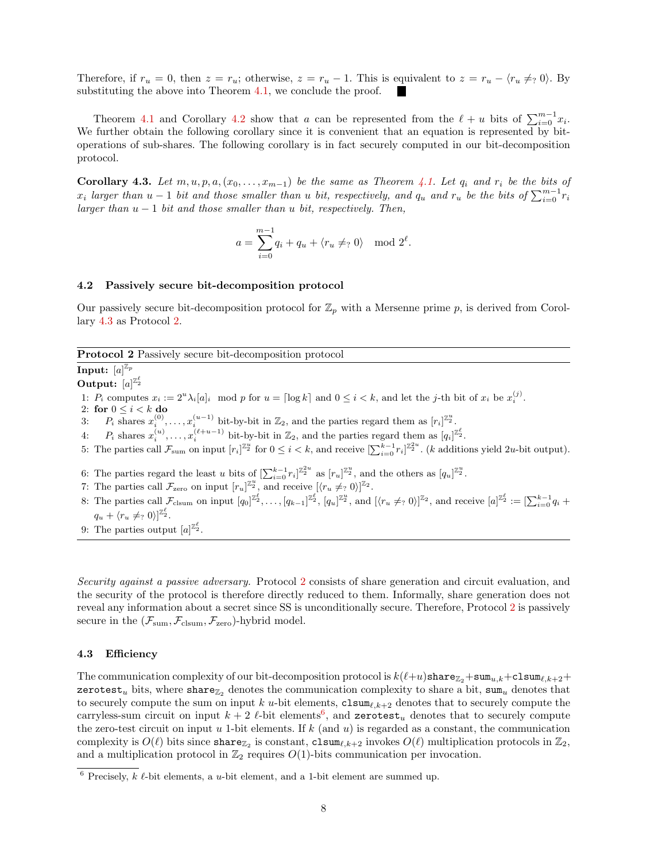Therefore, if  $r_u = 0$ , then  $z = r_u$ ; otherwise,  $z = r_u - 1$ . This is equivalent to  $z = r_u - \langle r_u \neq_2 0 \rangle$ . By substituting the above into Theorem [4.1,](#page-6-2) we conclude the proof.

Theorem [4.1](#page-6-2) and Corollary [4.2](#page-6-3) show that *a* can be represented from the  $\ell + u$  bits of  $\sum_{i=0}^{m-1} x_i$ . We further obtain the following corollary since it is convenient that an equation is represented by bitoperations of sub-shares. The following corollary is in fact securely computed in our bit-decomposition protocol.

<span id="page-7-0"></span>**Corollary 4.3.** Let  $m, u, p, a, (x_0, \ldots, x_{m-1})$  be the same as Theorem [4.1.](#page-6-2) Let  $q_i$  and  $r_i$  be the bits of  $x_i$  larger than  $u-1$  bit and those smaller than u bit, respectively, and  $q_u$  and  $r_u$  be the bits of  $\sum_{i=0}^{m-1} r_i$ *larger than u −* 1 *bit and those smaller than u bit, respectively. Then,*

$$
a = \sum_{i=0}^{m-1} q_i + q_u + \langle r_u \neq_? 0 \rangle \mod 2^{\ell}.
$$

#### **4.2 Passively secure bit-decomposition protocol**

Our passively secure bit-decomposition protocol for  $\mathbb{Z}_p$  with a Mersenne prime  $p$ , is derived from Corollary [4.3](#page-7-0) as Protocol [2.](#page-7-1)

#### <span id="page-7-1"></span>**Protocol 2** Passively secure bit-decomposition protocol

 $\mathbf{Input: } \; [a]^{\mathbb{Z}_p}$ **Output:**  $[a]^{\mathbb{Z}_2^{\ell}}$ 1:  $P_i$  computes  $x_i := 2^u \lambda_i [a]_i \mod p$  for  $u = \lceil \log k \rceil$  and  $0 \le i < k$ , and let the j-th bit of  $x_i$  be  $x_i^{(j)}$ . 2: **for** 0 *≤ i < k* **do** 3:  $P_i$  shares  $x_i^{(0)}, \ldots, x_i^{(u-1)}$  bit-by-bit in  $\mathbb{Z}_2$ , and the parties regard them as  $[r_i]^{\mathbb{Z}_2^n}$ . 4:  $P_i$  shares  $x_i^{(u)}, \ldots, x_i^{(\ell+u-1)}$  bit-by-bit in  $\mathbb{Z}_2$ , and the parties regard them as  $[q_i]^{\mathbb{Z}_2^{\ell}}$ . 5: The parties call  $\mathcal{F}_{sum}$  on input  $[r_i]^{\mathbb{Z}_2^u}$  for  $0 \leq i < k$ , and receive  $[\sum_{i=0}^{k-1} r_i]^{\mathbb{Z}_2^{2u}}$ . (*k* additions yield 2*u*-bit output). 6: The parties regard the least *u* bits of  $\left[\sum_{i=0}^{k-1} r_i\right]^{\mathbb{Z}_2^u}$  as  $\left[r_u\right]^{\mathbb{Z}_2^u}$ , and the others as  $\left[q_u\right]^{\mathbb{Z}_2^u}$ . 7: The parties call  $\mathcal{F}_{\text{zero}}$  on input  $[r_u]^{\mathbb{Z}_2^u}$ , and receive  $[\langle r_u \neq_? 0 \rangle]^{\mathbb{Z}_2}$ . 8: The parties call  $\mathcal{F}_{\text{clsum}}$  on input  $[q_0]_{\mathbb{Z}_2^{\ell}}, \ldots, [q_{k-1}]_{\mathbb{Z}_2^{\ell}}, [q_u]_{\mathbb{Z}_2^{\ell}}^{\mathbb{Z}_2^u}$ , and  $[\langle r_u \neq r_u \, \theta \rangle]_{\mathbb{Z}_2^{\ell}}$ , and receive  $[a]_{\mathbb{Z}_2^{\ell}} := [\sum_{i=0}^{k-1} q_i + \sum_{i=0}^{k-1} q_i \, \theta_i]_{\mathbb{Z}_2$  $q_u + \langle r_u \neq ? 0 \rangle \vert^{\mathbb{Z}_2^{\ell}}.$ 

9: The parties output  $[a]^{\mathbb{Z}_2^{\ell}}$ .

*Security against a passive adversary.* Protocol [2](#page-7-1) consists of share generation and circuit evaluation, and the security of the protocol is therefore directly reduced to them. Informally, share generation does not reveal any information about a secret since SS is unconditionally secure. Therefore, Protocol [2](#page-7-1) is passively secure in the  $(\mathcal{F}_{sum}, \mathcal{F}_{clsum}, \mathcal{F}_{zero})$ -hybrid model.

#### **4.3 Efficiency**

The communication complexity of our bit-decomposition protocol is  $k(\ell+u)$ share $\mathbb{Z}_2$ +sum<sub>*u*,k</sub>+clsum<sub> $\ell$ ,k+2</sub>+ zerotest<sub>u</sub> bits, where share<sub> $\mathbb{Z}_2$ </sub> denotes the communication complexity to share a bit, sum<sub>u</sub> denotes that to securely compute the sum on input *k u*-bit elements, clsum*ℓ,k*+2 denotes that to securely compute the carryless-sum circuit on input  $k + 2$   $\ell$ -bit elements<sup>[6](#page-7-2)</sup>, and zerotest<sub>u</sub> denotes that to securely compute the zero-test circuit on input *u* 1-bit elements. If *k* (and *u*) is regarded as a constant, the communication complexity is  $O(\ell)$  bits since share<sub> $\mathbb{Z}_2$ </sub> is constant, clsum<sub> $\ell, k+2$ </sub> invokes  $O(\ell)$  multiplication protocols in  $\mathbb{Z}_2$ , and a multiplication protocol in  $\mathbb{Z}_2$  requires  $O(1)$ -bits communication per invocation.

<span id="page-7-2"></span><sup>6</sup> Precisely, *k ℓ*-bit elements, a *u*-bit element, and a 1-bit element are summed up.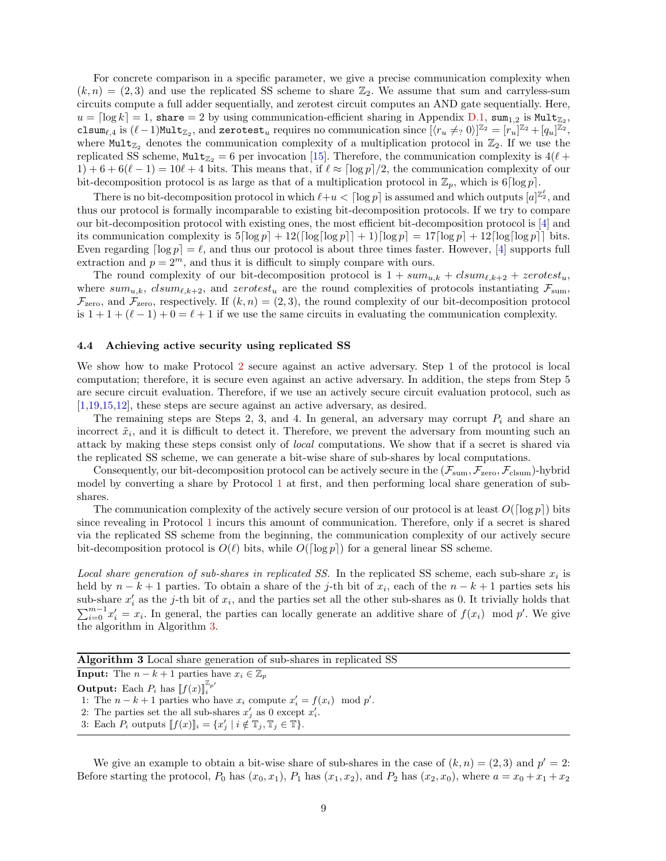For concrete comparison in a specific parameter, we give a precise communication complexity when  $(k, n) = (2, 3)$  and use the replicated SS scheme to share  $\mathbb{Z}_2$ . We assume that sum and carryless-sum circuits compute a full adder sequentially, and zerotest circuit computes an AND gate sequentially. Here,  $u = \lceil \log k \rceil = 1$ , share  $= 2$  by using communication-efficient sharing in Appendix [D.1,](#page-16-0) sum<sub>1,2</sub> is Mult<sub>Z<sub>2</sub></sub>, clsum<sub> $\ell$ ,4</sub> is  $(\ell-1)$ Mult<sub> $\mathbb{Z}_2$ </sub>, and zerotest<sub>*u*</sub> requires no communication since  $[\langle r_u \neq_2 0 \rangle]^{\mathbb{Z}_2} = [r_u]^{\mathbb{Z}_2} + [q_u]^{\mathbb{Z}_2}$ , where Mult<sub>Z<sub>2</sub></sub> denotes the communication complexity of a multiplication protocol in  $\mathbb{Z}_2$ . If we use the replicated SS scheme,  $\text{Mult}_{\mathbb{Z}_2} = 6$  per invocation [[15\]](#page-12-11). Therefore, the communication complexity is  $4(\ell +$  $1) + 6 + 6(\ell - 1) = 10\ell + 4$  bits. This means that, if  $\ell \approx \lceil \log p \rceil/2$ , the communication complexity of our bit-decomposition protocol is as large as that of a multiplication protocol in  $\mathbb{Z}_p$ , which is 6 $\lceil \log p \rceil$ .

There is no bit-decomposition protocol in which  $\ell+u < \lceil \log p \rceil$  is assumed and which outputs  $[a]^{\mathbb{Z}_2^{\ell}}$ , and thus our protocol is formally incomparable to existing bit-decomposition protocols. If we try to compare our bit-decomposition protocol with existing ones, the most efficient bit-decomposition protocol is [[4\]](#page-12-3) and its communication complexity is  $5\lceil \log p \rceil + 12(\lceil \log \lceil \log p \rceil + 1)\lceil \log p \rceil = 17\lceil \log p \rceil + 12\lceil \log \lceil \log p \rceil$  bits. Even regarding  $\lceil \log p \rceil = \ell$ , and thus our protocol is about three times faster. However, [[4](#page-12-3)] supports full extraction and  $p = 2^m$ , and thus it is difficult to simply compare with ours.

The round complexity of our bit-decomposition protocol is  $1 + sum_{u,k} + column_{\ell,k+2} + zerotest_u$ , where  $sum_{u,k}$ ,  $clsum_{\ell,k+2}$ , and  $zerotest_u$  are the round complexities of protocols instantiating  $\mathcal{F}_{sum}$  $\mathcal{F}_{\text{zero}}$ , and  $\mathcal{F}_{\text{zero}}$ , respectively. If  $(k, n) = (2, 3)$ , the round complexity of our bit-decomposition protocol is  $1 + 1 + (\ell - 1) + 0 = \ell + 1$  if we use the same circuits in evaluating the communication complexity.

#### **4.4 Achieving active security using replicated SS**

We show how to make Protocol [2](#page-7-1) secure against an active adversary. Step 1 of the protocol is local computation; therefore, it is secure even against an active adversary. In addition, the steps from Step 5 are secure circuit evaluation. Therefore, if we use an actively secure circuit evaluation protocol, such as [[1,](#page-12-12)[19](#page-13-7)[,15](#page-12-11),[12\]](#page-12-9), these steps are secure against an active adversary, as desired.

The remaining steps are Steps 2, 3, and 4. In general, an adversary may corrupt *P<sup>i</sup>* and share an incorrect  $\tilde{x}_i$ , and it is difficult to detect it. Therefore, we prevent the adversary from mounting such an attack by making these steps consist only of *local* computations. We show that if a secret is shared via the replicated SS scheme, we can generate a bit-wise share of sub-shares by local computations.

Consequently, our bit-decomposition protocol can be actively secure in the  $(\mathcal{F}_{sum}, \mathcal{F}_{zero}, \mathcal{F}_{clsum})$ -hybrid model by converting a share by Protocol [1](#page-4-0) at first, and then performing local share generation of subshares.

The communication complexity of the actively secure version of our protocol is at least  $O(\lceil \log p \rceil)$  bits since revealing in Protocol [1](#page-4-0) incurs this amount of communication. Therefore, only if a secret is shared via the replicated SS scheme from the beginning, the communication complexity of our actively secure bit-decomposition protocol is  $O(\ell)$  bits, while  $O(\lceil \log p \rceil)$  for a general linear SS scheme.

*Local share generation of sub-shares in replicated SS.* In the replicated SS scheme, each sub-share  $x_i$  is held by  $n - k + 1$  parties. To obtain a share of the *j*-th bit of  $x_i$ , each of the  $n - k + 1$  parties sets his sub-share  $x'_i$  as the *j*-th bit of  $x_i$ , and the parties set all the other sub-shares as 0. It trivially holds that  $\sum_{i=0}^{m-1} x_i' = x_i$ . In general, the parties can locally generate an additive share of  $f(x_i)$  mod  $p'$ . We give the algorithm in Algorithm [3.](#page-8-0)

<span id="page-8-0"></span>

| <b>Algorithm 3</b> Local share generation of sub-shares in replicated SS       |
|--------------------------------------------------------------------------------|
| <b>Input:</b> The $n - k + 1$ parties have $x_i \in \mathbb{Z}_n$              |
| <b>Output:</b> Each $P_i$ has $\llbracket f(x) \rrbracket_i^{\mathbb{Z}_{p'}}$ |
| 1: The $n - k + 1$ parties who have $x_i$ compute $x'_i = f(x_i) \mod p'$ .    |

2: The parties set the all sub-shares  $x'_{j}$  as 0 except  $x'_{i}$ .

3: Each  $P_i$  outputs  $[f(x)]_i = \{x'_j \mid i \notin \mathbb{T}_j, \mathbb{T}_j \in \mathbb{T}\}.$ 

We give an example to obtain a bit-wise share of sub-shares in the case of  $(k, n) = (2, 3)$  and  $p' = 2$ : Before starting the protocol,  $P_0$  has  $(x_0, x_1)$ ,  $P_1$  has  $(x_1, x_2)$ , and  $P_2$  has  $(x_2, x_0)$ , where  $a = x_0 + x_1 + x_2$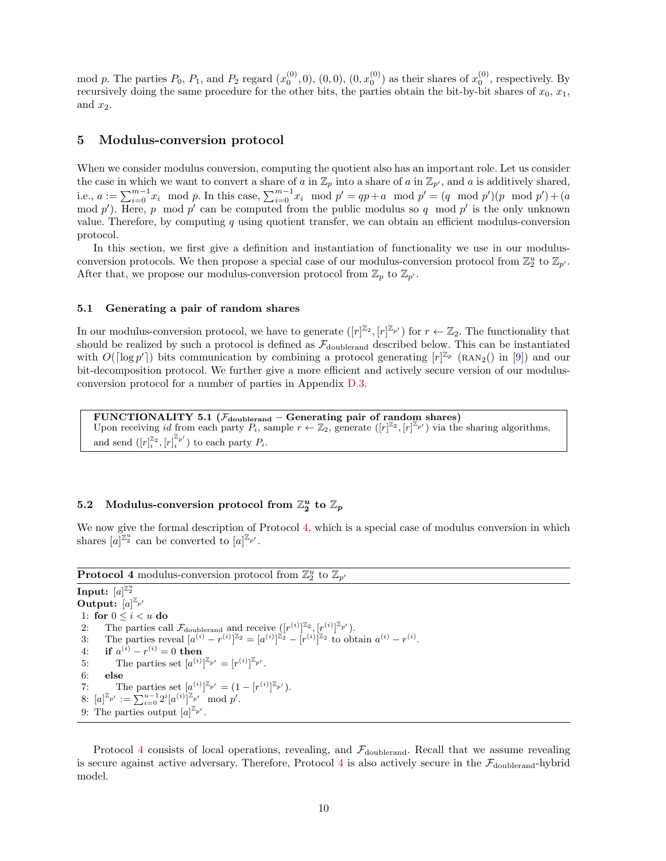mod p. The parties  $P_0$ ,  $P_1$ , and  $P_2$  regard  $(x_0^{(0)}, 0)$ ,  $(0, 0)$ ,  $(0, x_0^{(0)})$  as their shares of  $x_0^{(0)}$ , respectively. By recursively doing the same procedure for the other bits, the parties obtain the bit-by-bit shares of  $x_0, x_1$ , and  $x_2$ .

## **5 Modulus-conversion protocol**

When we consider modulus conversion, computing the quotient also has an important role. Let us consider the case in which we want to convert a share of *a* in  $\mathbb{Z}_p$  into a share of *a* in  $\mathbb{Z}_{p'}$ , and *a* is additively shared, i.e.,  $a := \sum_{i=0}^{m-1} x_i \mod p$ . In this case,  $\sum_{i=0}^{m-1} x_i \mod p' = qp + a \mod p' = (q \mod p')(p \mod p') + (a \mod p')$ mod p'). Here, p mod p' can be computed from the public modulus so q mod p' is the only unknown value. Therefore, by computing *q* using quotient transfer, we can obtain an efficient modulus-conversion protocol.

In this section, we first give a definition and instantiation of functionality we use in our modulusconversion protocols. We then propose a special case of our modulus-conversion protocol from  $\mathbb{Z}_2^u$  to  $\mathbb{Z}_{p'}$ . After that, we propose our modulus-conversion protocol from  $\mathbb{Z}_p$  to  $\mathbb{Z}_{p'}$ .

#### **5.1 Generating a pair of random shares**

In our modulus-conversion protocol, we have to generate  $([r]^{\mathbb{Z}_2}, [r]^{\mathbb{Z}_{p'}})$  for  $r \leftarrow \mathbb{Z}_2$ . The functionality that should be realized by such a protocol is defined as  $\mathcal{F}_{\text{doublerand}}$  described below. This can be instantiated with  $O(\lceil \log p' \rceil)$  bits communication by combining a protocol generating  $[r]^{\mathbb{Z}_p}$  (RAN<sub>2</sub>() in [\[9](#page-12-1)]) and our bit-decomposition protocol. We further give a more efficient and actively secure version of our modulusconversion protocol for a number of parties in Appendix [D.3.](#page-17-0)

**FUNCTIONALITY 5.1 (***F***doublerand – Generating pair of random shares)** Upon receiving *id* from each party  $P_i$ , sample  $r \leftarrow \mathbb{Z}_2$ , generate  $([r]^{\mathbb{Z}_2}, [r]^{\mathbb{Z}_{p'}})$  via the sharing algorithms, and send  $([r]_i^{\mathbb{Z}_2}, [r]_i^{\mathbb{Z}_{p'}})$  to each party  $P_i$ .

# $\mathbb{Z}_2^n$  Modulus-conversion protocol from  $\mathbb{Z}_2^n$  to  $\mathbb{Z}_p$

We now give the formal description of Protocol [4](#page-9-0), which is a special case of modulus conversion in which shares  $[a]^{\mathbb{Z}_2}$  can be converted to  $[a]^{\mathbb{Z}_{p'}}$ .

<span id="page-9-0"></span>**Protocol 4** modulus-conversion protocol from  $\mathbb{Z}_2^u$  to  $\mathbb{Z}_{p'}$ 

**Input:**  $[a]^{\mathbb{Z}_2^u}$ **Output:**  $[a]^{\mathbb{Z}_{p'}}$ 1: **for**  $0 \leq i < u$  **do** 2: The parties call  $\mathcal{F}_{\text{doublerand}}$  and receive  $([r^{(i)}]^{\mathbb{Z}_2}, [r^{(i)}]^{\mathbb{Z}_{p'}})$ . 3: The parties reveal  $[a^{(i)} - r^{(i)}]^{\mathbb{Z}_2} = [a^{(i)}]^{\mathbb{Z}_2} - [r^{(i)}]^{\mathbb{Z}_2}$  to obtain  $a^{(i)} - r^{(i)}$ .  $4:$  **if**  $a^{(i)} - r^{(i)} = 0$  **then** 5: The parties set  $[a^{(i)}]^{\mathbb{Z}_{p'}} = [r^{(i)}]^{\mathbb{Z}_{p'}}$ . 6: **else** 7: The parties set  $[a^{(i)}]^{\mathbb{Z}_{p'}} = (1 - [r^{(i)}]^{\mathbb{Z}_{p'}}).$ 8:  $[a]^{\mathbb{Z}_{p'}} := \sum_{i=0}^{u-1} 2^i [a^{(i)}]^{\mathbb{Z}_{p'}} \mod p'.$ 9: The parties output  $[a]^{\mathbb{Z}_{p'}}$ .

Protocol [4](#page-9-0) consists of local operations, revealing, and  $\mathcal{F}_{\text{doublerand}}$ . Recall that we assume revealing is secure against active adversary. Therefore, Protocol [4](#page-9-0) is also actively secure in the  $\mathcal{F}_{\text{doublerand}}$ -hybrid model.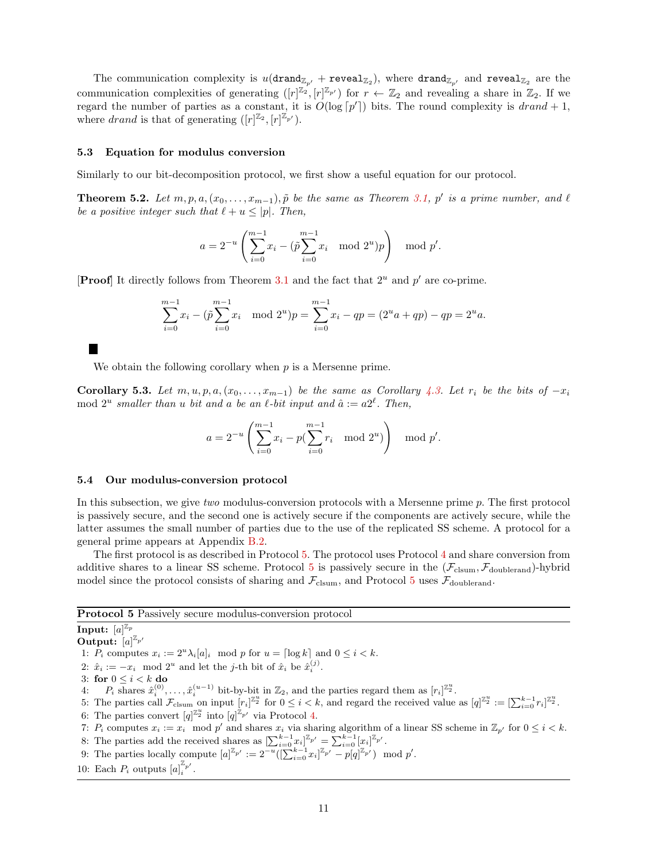The communication complexity is  $u(\text{drand}_{\mathbb{Z}_{p'}} + \text{reveal}_{\mathbb{Z}_2})$ , where  $\text{drand}_{\mathbb{Z}_{p'}}$  and  $\text{reveal}_{\mathbb{Z}_2}$  are the communication complexities of generating  $([r]^{\mathbb{Z}_2}, [r]^{\mathbb{Z}_{p'}})$  for  $r \leftarrow \mathbb{Z}_2$  and revealing a share in  $\mathbb{Z}_2$ . If we regard the number of parties as a constant, it is  $O(\log [p'])$  bits. The round complexity is  $drand + 1$ , where *drand* is that of generating  $([r]^{\mathbb{Z}_2}, [r]^{\mathbb{Z}_{p'}})$ .

#### **5.3 Equation for modulus conversion**

Similarly to our bit-decomposition protocol, we first show a useful equation for our protocol.

**Theorem 5.2.** Let  $m, p, a, (x_0, \ldots, x_{m-1}), \tilde{p}$  be the same as Theorem [3.1](#page-5-1),  $p'$  is a prime number, and  $\ell$ *be a positive integer such that*  $\ell + u \leq |p|$ *. Then,* 

$$
a = 2^{-u} \left( \sum_{i=0}^{m-1} x_i - (\tilde{p} \sum_{i=0}^{m-1} x_i \mod 2^u) p \right) \mod p'.
$$

[**Proof**] It directly follows from Theorem [3.1](#page-5-1) and the fact that 2*<sup>u</sup>* and *p ′* are co-prime.

$$
\sum_{i=0}^{m-1} x_i - (\tilde{p} \sum_{i=0}^{m-1} x_i \mod 2^u) p = \sum_{i=0}^{m-1} x_i - qp = (2^u a + qp) - qp = 2^u a.
$$

We obtain the following corollary when *p* is a Mersenne prime.

**Corollary 5.3.** Let  $m, u, p, a, (x_0, \ldots, x_{m-1})$  be the same as Corollary [4.3.](#page-7-0) Let  $r_i$  be the bits of  $-x_i$ mod  $2^u$  smaller than *u* bit and *a* be an  $\ell$ -bit input and  $\hat{a} := a2^{\ell}$ . Then,

$$
a = 2^{-u} \left( \sum_{i=0}^{m-1} x_i - p(\sum_{i=0}^{m-1} r_i \mod 2^u) \right) \mod p'.
$$

#### **5.4 Our modulus-conversion protocol**

In this subsection, we give *two* modulus-conversion protocols with a Mersenne prime *p*. The first protocol is passively secure, and the second one is actively secure if the components are actively secure, while the latter assumes the small number of parties due to the use of the replicated SS scheme. A protocol for a general prime appears at Appendix [B.2.](#page-15-2)

The first protocol is as described in Protocol [5](#page-10-0). The protocol uses Protocol [4](#page-9-0) and share conversion from additive shares to a linear SS scheme. Protocol [5](#page-10-0) is passively secure in the  $(\mathcal{F}_{\text{clsum}}, \mathcal{F}_{\text{doublerand}})$ -hybrid model since the protocol consists of sharing and  $\mathcal{F}_{\text{clsum}}$ , and Protocol [5](#page-10-0) uses  $\mathcal{F}_{\text{doublerand}}$ .

<span id="page-10-0"></span>**Protocol 5** Passively secure modulus-conversion protocol

 $\mathbf{Input: } \; [a]^{\mathbb{Z}_p}$ 

**Output:**  $[a]^{\mathbb{Z}_{p'}}$ 

1:  $P_i$  computes  $x_i := 2^u \lambda_i [a]_i \mod p$  for  $u = \lceil \log k \rceil$  and  $0 \le i \le k$ .

- 2:  $\hat{x}_i := -x_i \mod 2^u$  and let the *j*-th bit of  $\hat{x}_i$  be  $\hat{x}_i^{(j)}$ .
- 3: **for**  $0 \leq i \leq k$  **do**
- 4:  $P_i$  shares  $\hat{x}_i^{(0)}, \ldots, \hat{x}_i^{(u-1)}$  bit-by-bit in  $\mathbb{Z}_2$ , and the parties regard them as  $[r_i]^{\mathbb{Z}_2}$ .
- 5: The parties call  $\mathcal{F}_{\text{clsum}}$  on input  $[r_i]^{\mathbb{Z}_2^u}$  for  $0 \leq i < k$ , and regard the received value as  $[q]^{\mathbb{Z}_2^u} := [\sum_{i=0}^{k-1} r_i]^{\mathbb{Z}_2^u}$ .
- 6: The parties convert  $[q]^{\mathbb{Z}_2^u}$  into  $[q]^{\mathbb{Z}_{p'}}$  via Protocol [4.](#page-9-0)
- 7:  $P_i$  computes  $x_i := x_i \mod p'$  and shares  $x_i$  via sharing algorithm of a linear SS scheme in  $\mathbb{Z}_{p'}$  for  $0 \le i \le k$ .
- 8: The parties add the received shares as  $[\sum_{i=0}^{k-1} x_i]^{\mathbb{Z}_{p'}} = \sum_{i=0}^{k-1} [x_i]^{\mathbb{Z}_{p'}}$ .
- 9: The parties locally compute  $[a]^{\mathbb{Z}_{p'}} := 2^{-u}([\sum_{i=0}^{k-1} x_i]^{\mathbb{Z}_{p'}} p[q]^{\mathbb{Z}_{p'}}) \mod p'.$
- 10: Each  $P_i$  outputs  $[a]_i^{\mathbb{Z}_{p'}}$ .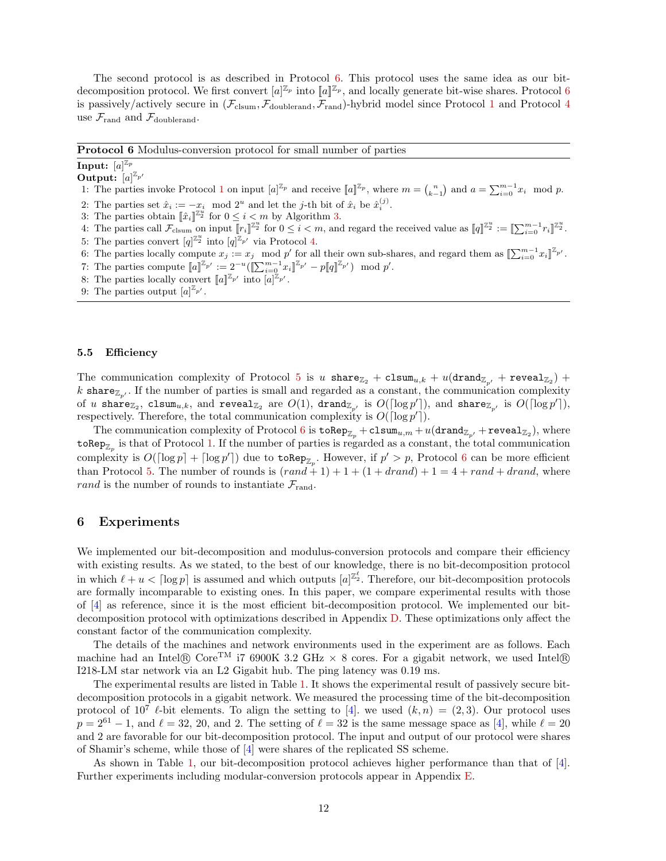The second protocol is as described in Protocol [6.](#page-11-0) This protocol uses the same idea as our bitdecomposition protocol. We first convert  $[a]^{\mathbb{Z}_p}$  into  $[[a]^{\mathbb{Z}_p}$ , and locally generate bit-wise shares. Protocol [6](#page-11-0) is passively/actively secure in  $(\mathcal{F}_{\text{clsum}}, \mathcal{F}_{\text{doublerand}}, \mathcal{F}_{\text{rand}})$ -hybrid model since Protocol [1](#page-4-0) and Protocol [4](#page-9-0) use  $\mathcal{F}_{\text{rand}}$  and  $\mathcal{F}_{\text{doublerand}}$ .

<span id="page-11-0"></span>**Protocol 6** Modulus-conversion protocol for small number of parties

#### $\mathbf{Input: } \; [a]^{\mathbb{Z}_p}$

#### **Output:**  $[a]^{\mathbb{Z}_{p'}}$

- [1](#page-4-0): The parties invoke Protocol 1 on input  $[a]^{\mathbb{Z}_p}$  and receive  $[[a]^{\mathbb{Z}_p}$ , where  $m = {n \choose k-1}$  and  $a = \sum_{i=0}^{m-1} x_i \mod p$ .
- 2: The parties set  $\hat{x}_i := -x_i \mod 2^u$  and let the *j*-th bit of  $\hat{x}_i$  be  $\hat{x}_i^{(j)}$ .
- 3: The parties obtain  $[\![\hat{x}_i]\!]^{\mathbb{Z}_2^{\bar{u}}}$  for  $0 \leq i < m$  by Algorithm [3.](#page-8-0)
- 4: The parties call  $\mathcal{F}_{\text{clsum}}$  on input  $\llbracket r_i \rrbracket^{\mathbb{Z}_2^u}$  for  $0 \leq i < m$ , and regard the received value as  $\llbracket q \rrbracket^{\mathbb{Z}_2^u} := \llbracket \sum_{i=0}^{m-1} r_i \rrbracket^{\mathbb{Z}_2^u}$ .
- 5: The parties convert  $[q]^{\mathbb{Z}_2^u}$  into  $[q]^{\mathbb{Z}_{p'}}$  via Protocol [4.](#page-9-0)
- 6: The parties locally compute  $x_j := x_j \mod p'$  for all their own sub-shares, and regard them as  $[\sum_{i=0}^{m-1} x_i]^{\mathbb{Z}_{p'}}$ .
- 7: The parties compute  $[a]^{\mathbb{Z}_{p'}} := 2^{-u} (\llbracket \sum_{i=0}^{m-1} x_i \rrbracket^{\mathbb{Z}_{p'}} p \llbracket q \rrbracket^{\mathbb{Z}_{p'}}) \mod p'.$
- 8: The parties locally convert  $[a]^{\mathbb{Z}_{p'}}$  into  $[a]^{\mathbb{Z}_{p'}}$ .
- 9: The parties output  $[a]^{\mathbb{Z}_{p'}}$ .

#### **5.5 Efficiency**

The communication complexity of Protocol [5](#page-10-0) is *u* share $\mathbb{Z}_2$  + clsum<sub>*u*,*k*</sub> + *u*(drand $\mathbb{Z}_{p'}$  + reveal $\mathbb{Z}_2$ ) + *k* share<sub> $\mathbb{Z}_{p'}$ </sub>. If the number of parties is small and regarded as a constant, the communication complexity of *u* share $_{\mathbb{Z}_2}$ , clsum $_{u,k},$  and reveal $_{\mathbb{Z}_2}$  are  $O(1)$ , drand $_{\mathbb{Z}_{p'}}$  is  $O(\lceil \log p' \rceil)$ , and share $_{\mathbb{Z}_{p'}}$  is  $O(\lceil \log p' \rceil)$ , respectively. Therefore, the total communication complexity is  $O(\lceil \log p' \rceil)$ .

The communication complexity of Protocol  $6$  is  $\mathtt{toRep}_{\mathbb{Z}_p} + \mathtt{clsum}_{u,m} + u(\mathtt{drand}_{\mathbb{Z}_{p'}} + \mathtt{reveal}_{\mathbb{Z}_2}),$  where  $\mathtt{toRep}_{\mathbb{Z}_p}$  is that of Protocol [1](#page-4-0). If the number of parties is regarded as a constant, the total communication complexity is  $O(\lceil \log p \rceil + \lceil \log p' \rceil)$  due to  $\mathsf{toRep}_{\mathbb{Z}_p}$ . However, if  $p' > p$ , Protocol [6](#page-11-0) can be more efficient than Protocol [5.](#page-10-0) The number of rounds is  $(rand + 1) + 1 + (1 + drand) + 1 = 4 + rand + drand$ , where *rand* is the number of rounds to instantiate  $\mathcal{F}_{\text{rand}}$ .

#### <span id="page-11-1"></span>**6 Experiments**

We implemented our bit-decomposition and modulus-conversion protocols and compare their efficiency with existing results. As we stated, to the best of our knowledge, there is no bit-decomposition protocol in which  $\ell + u < \lceil \log p \rceil$  is assumed and which outputs  $[a]^{\mathbb{Z}_2^{\ell}}$ . Therefore, our bit-decomposition protocols are formally incomparable to existing ones. In this paper, we compare experimental results with those of [\[4](#page-12-3)] as reference, since it is the most efficient bit-decomposition protocol. We implemented our bitdecomposition protocol with optimizations described in Appendix [D.](#page-15-3) These optimizations only affect the constant factor of the communication complexity.

The details of the machines and network environments used in the experiment are as follows. Each machine had an Intel<sup>®</sup> Core<sup>TM</sup> i7 6900K 3.2 GHz  $\times$  8 cores. For a gigabit network, we used Intel<sup>®</sup> I218-LM star network via an L2 Gigabit hub. The ping latency was 0.19 ms.

The experimental results are listed in Table [1.](#page-12-13) It shows the experimental result of passively secure bitdecomposition protocols in a gigabit network. We measured the processing time of the bit-decomposition protocol of  $10^7$   $\ell$ -bit elements. To align the setting to [\[4](#page-12-3)]. we used  $(k, n) = (2, 3)$ . Our protocol uses  $p = 2^{61} - 1$ , and  $\ell = 32$ , 20, and 2. The setting of  $\ell = 32$  is the same message space as [\[4](#page-12-3)], while  $\ell = 20$ and 2 are favorable for our bit-decomposition protocol. The input and output of our protocol were shares of Shamir's scheme, while those of [\[4](#page-12-3)] were shares of the replicated SS scheme.

As shown in Table [1,](#page-12-13) our bit-decomposition protocol achieves higher performance than that of [[4\]](#page-12-3). Further experiments including modular-conversion protocols appear in Appendix [E](#page-17-1).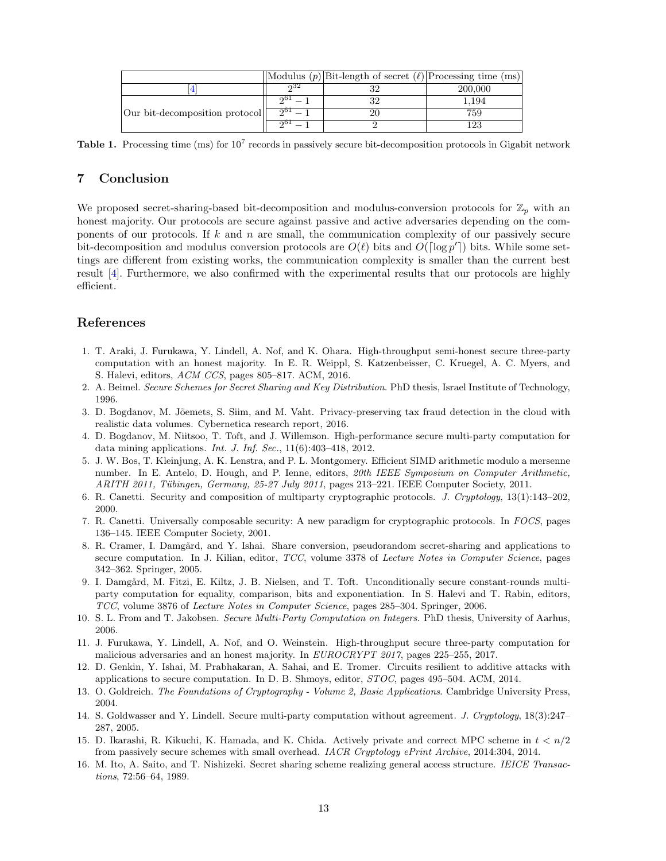|                                |     | $\vert$ Modulus $(p)\vert$ Bit-length of secret $(\ell)\vert$ Processing time (ms) |         |
|--------------------------------|-----|------------------------------------------------------------------------------------|---------|
|                                | ഹ32 |                                                                                    | 200,000 |
|                                | ഹ0. |                                                                                    | 1.194   |
| Our bit-decomposition protocol | 001 |                                                                                    | 759     |
|                                | ച   |                                                                                    | 23      |

<span id="page-12-13"></span>Table 1. Processing time (ms) for  $10^7$  records in passively secure bit-decomposition protocols in Gigabit network

# **7 Conclusion**

We proposed secret-sharing-based bit-decomposition and modulus-conversion protocols for  $\mathbb{Z}_p$  with an honest majority. Our protocols are secure against passive and active adversaries depending on the components of our protocols. If *k* and *n* are small, the communication complexity of our passively secure bit-decomposition and modulus conversion protocols are  $O(\ell)$  bits and  $O(\lceil \log p' \rceil)$  bits. While some settings are different from existing works, the communication complexity is smaller than the current best result [\[4](#page-12-3)]. Furthermore, we also confirmed with the experimental results that our protocols are highly efficient.

# **References**

- <span id="page-12-12"></span>1. T. Araki, J. Furukawa, Y. Lindell, A. Nof, and K. Ohara. High-throughput semi-honest secure three-party computation with an honest majority. In E. R. Weippl, S. Katzenbeisser, C. Kruegel, A. C. Myers, and S. Halevi, editors, *ACM CCS*, pages 805–817. ACM, 2016.
- <span id="page-12-10"></span>2. A. Beimel. *Secure Schemes for Secret Sharing and Key Distribution*. PhD thesis, Israel Institute of Technology, 1996.
- <span id="page-12-0"></span>3. D. Bogdanov, M. Jõemets, S. Siim, and M. Vaht. Privacy-preserving tax fraud detection in the cloud with realistic data volumes. Cybernetica research report, 2016.
- <span id="page-12-3"></span>4. D. Bogdanov, M. Niitsoo, T. Toft, and J. Willemson. High-performance secure multi-party computation for data mining applications. *Int. J. Inf. Sec.*, 11(6):403–418, 2012.
- <span id="page-12-6"></span>5. J. W. Bos, T. Kleinjung, A. K. Lenstra, and P. L. Montgomery. Efficient SIMD arithmetic modulo a mersenne number. In E. Antelo, D. Hough, and P. Ienne, editors, *20th IEEE Symposium on Computer Arithmetic, ARITH 2011, T¨ubingen, Germany, 25-27 July 2011*, pages 213–221. IEEE Computer Society, 2011.
- <span id="page-12-14"></span>6. R. Canetti. Security and composition of multiparty cryptographic protocols. *J. Cryptology*, 13(1):143–202, 2000.
- <span id="page-12-16"></span>7. R. Canetti. Universally composable security: A new paradigm for cryptographic protocols. In *FOCS*, pages 136–145. IEEE Computer Society, 2001.
- <span id="page-12-4"></span>8. R. Cramer, I. Damgård, and Y. Ishai. Share conversion, pseudorandom secret-sharing and applications to secure computation. In J. Kilian, editor, *TCC*, volume 3378 of *Lecture Notes in Computer Science*, pages 342–362. Springer, 2005.
- <span id="page-12-1"></span>9. I. Damgård, M. Fitzi, E. Kiltz, J. B. Nielsen, and T. Toft. Unconditionally secure constant-rounds multiparty computation for equality, comparison, bits and exponentiation. In S. Halevi and T. Rabin, editors, *TCC*, volume 3876 of *Lecture Notes in Computer Science*, pages 285–304. Springer, 2006.
- <span id="page-12-2"></span>10. S. L. From and T. Jakobsen. *Secure Multi-Party Computation on Integers*. PhD thesis, University of Aarhus, 2006.
- <span id="page-12-8"></span>11. J. Furukawa, Y. Lindell, A. Nof, and O. Weinstein. High-throughput secure three-party computation for malicious adversaries and an honest majority. In *EUROCRYPT 2017*, pages 225–255, 2017.
- <span id="page-12-9"></span>12. D. Genkin, Y. Ishai, M. Prabhakaran, A. Sahai, and E. Tromer. Circuits resilient to additive attacks with applications to secure computation. In D. B. Shmoys, editor, *STOC*, pages 495–504. ACM, 2014.
- <span id="page-12-7"></span>13. O. Goldreich. *The Foundations of Cryptography - Volume 2, Basic Applications*. Cambridge University Press, 2004.
- <span id="page-12-15"></span>14. S. Goldwasser and Y. Lindell. Secure multi-party computation without agreement. *J. Cryptology*, 18(3):247– 287, 2005.
- <span id="page-12-11"></span>15. D. Ikarashi, R. Kikuchi, K. Hamada, and K. Chida. Actively private and correct MPC scheme in *t < n/*2 from passively secure schemes with small overhead. *IACR Cryptology ePrint Archive*, 2014:304, 2014.
- <span id="page-12-5"></span>16. M. Ito, A. Saito, and T. Nishizeki. Secret sharing scheme realizing general access structure. *IEICE Transactions*, 72:56–64, 1989.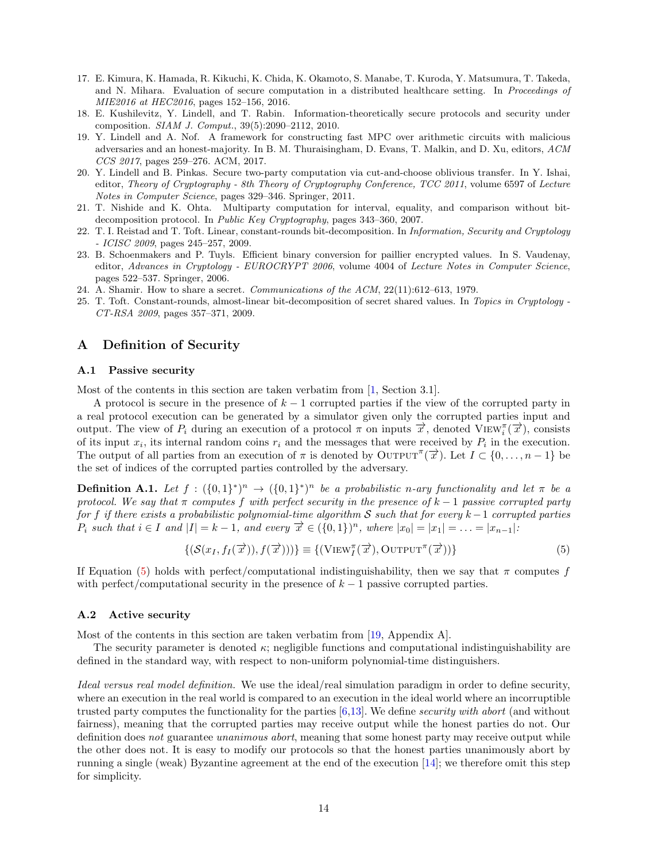- <span id="page-13-0"></span>17. E. Kimura, K. Hamada, R. Kikuchi, K. Chida, K. Okamoto, S. Manabe, T. Kuroda, Y. Matsumura, T. Takeda, and N. Mihara. Evaluation of secure computation in a distributed healthcare setting. In *Proceedings of MIE2016 at HEC2016*, pages 152–156, 2016.
- <span id="page-13-10"></span>18. E. Kushilevitz, Y. Lindell, and T. Rabin. Information-theoretically secure protocols and security under composition. *SIAM J. Comput.*, 39(5):2090–2112, 2010.
- <span id="page-13-7"></span>19. Y. Lindell and A. Nof. A framework for constructing fast MPC over arithmetic circuits with malicious adversaries and an honest-majority. In B. M. Thuraisingham, D. Evans, T. Malkin, and D. Xu, editors, *ACM CCS 2017*, pages 259–276. ACM, 2017.
- <span id="page-13-9"></span>20. Y. Lindell and B. Pinkas. Secure two-party computation via cut-and-choose oblivious transfer. In Y. Ishai, editor, *Theory of Cryptography - 8th Theory of Cryptography Conference, TCC 2011*, volume 6597 of *Lecture Notes in Computer Science*, pages 329–346. Springer, 2011.
- <span id="page-13-2"></span>21. T. Nishide and K. Ohta. Multiparty computation for interval, equality, and comparison without bitdecomposition protocol. In *Public Key Cryptography*, pages 343–360, 2007.
- <span id="page-13-3"></span>22. T. I. Reistad and T. Toft. Linear, constant-rounds bit-decomposition. In *Information, Security and Cryptology - ICISC 2009*, pages 245–257, 2009.
- <span id="page-13-1"></span>23. B. Schoenmakers and P. Tuyls. Efficient binary conversion for paillier encrypted values. In S. Vaudenay, editor, *Advances in Cryptology - EUROCRYPT 2006*, volume 4004 of *Lecture Notes in Computer Science*, pages 522–537. Springer, 2006.
- <span id="page-13-6"></span>24. A. Shamir. How to share a secret. *Communications of the ACM*, 22(11):612–613, 1979.
- <span id="page-13-4"></span>25. T. Toft. Constant-rounds, almost-linear bit-decomposition of secret shared values. In *Topics in Cryptology - CT-RSA 2009*, pages 357–371, 2009.

## <span id="page-13-5"></span>**A Definition of Security**

#### **A.1 Passive security**

Most of the contents in this section are taken verbatim from [\[1](#page-12-12), Section 3.1].

A protocol is secure in the presence of *k −* 1 corrupted parties if the view of the corrupted party in a real protocol execution can be generated by a simulator given only the corrupted parties input and output. The view of  $P_i$  during an execution of a protocol  $\pi$  on inputs  $\vec{x}$ , denoted VIEW<sub>*i*</sub><sup> $\pi$ </sup> $\vec{x}$ , consists of its input  $x_i$ , its internal random coins  $r_i$  and the messages that were received by  $P_i$  in the execution. The output of all parties from an execution of  $\pi$  is denoted by OUTPUT<sup> $\pi$ </sup>( $\vec{x}$ ). Let  $I \subset \{0, \ldots, n-1\}$  be the set of indices of the corrupted parties controlled by the adversary.

**Definition A.1.** Let  $f : (\{0,1\}^*)^n \to (\{0,1\}^*)^n$  be a probabilistic n-ary functionality and let  $\pi$  be a *protocol. We say that*  $\pi$  *computes*  $f$  *with perfect security in the presence of*  $k - 1$  *passive corrupted party for f if there exists a probabilistic polynomial-time algorithm S such that for every k−*1 *corrupted parties*  $P_i$  such that  $i \in I$  and  $|I| = k - 1$ , and every  $\vec{x} \in (\{0,1\})^n$ , where  $|x_0| = |x_1| = \ldots = |x_{n-1}|$ .

<span id="page-13-8"></span>
$$
\{(\mathcal{S}(x_I, f_I(\vec{x})), f(\vec{x})))\} \equiv \{(\text{View}_I^{\pi}(\vec{x}), \text{Output}^{\pi}(\vec{x}))\} \tag{5}
$$

If Equation [\(5](#page-13-8)) holds with perfect/computational indistinguishability, then we say that  $\pi$  computes *f* with perfect/computational security in the presence of  $k-1$  passive corrupted parties.

#### **A.2 Active security**

Most of the contents in this section are taken verbatim from [\[19](#page-13-7), Appendix A].

The security parameter is denoted  $\kappa$ ; negligible functions and computational indistinguishability are defined in the standard way, with respect to non-uniform polynomial-time distinguishers.

*Ideal versus real model definition.* We use the ideal/real simulation paradigm in order to define security, where an execution in the real world is compared to an execution in the ideal world where an incorruptible trusted party computes the functionality for the parties [[6,](#page-12-14)[13](#page-12-7)]. We define *security with abort* (and without fairness), meaning that the corrupted parties may receive output while the honest parties do not. Our definition does *not* guarantee *unanimous abort*, meaning that some honest party may receive output while the other does not. It is easy to modify our protocols so that the honest parties unanimously abort by running a single (weak) Byzantine agreement at the end of the execution [[14\]](#page-12-15); we therefore omit this step for simplicity.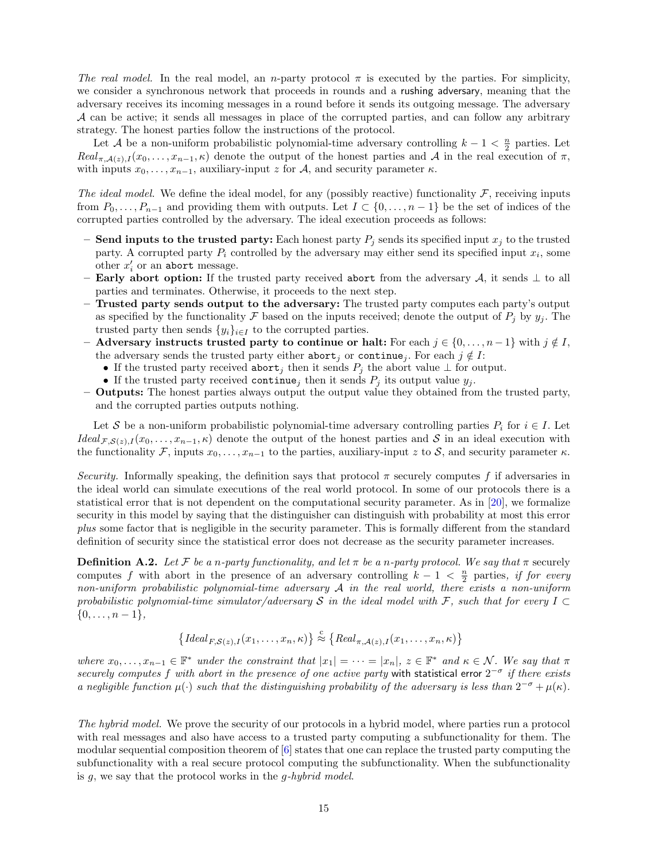*The real model.* In the real model, an *n*-party protocol  $\pi$  is executed by the parties. For simplicity, we consider a synchronous network that proceeds in rounds and a rushing adversary, meaning that the adversary receives its incoming messages in a round before it sends its outgoing message. The adversary *A* can be active; it sends all messages in place of the corrupted parties, and can follow any arbitrary strategy. The honest parties follow the instructions of the protocol.

Let *A* be a non-uniform probabilistic polynomial-time adversary controlling  $k-1 < \frac{n}{2}$  parties. Let  $Real_{\pi,\mathcal{A}(z),I}(x_0,\ldots,x_{n-1},\kappa)$  denote the output of the honest parties and *A* in the real execution of  $\pi$ , with inputs  $x_0, \ldots, x_{n-1}$ , auxiliary-input *z* for *A*, and security parameter *κ*.

*The ideal model.* We define the ideal model, for any (possibly reactive) functionality  $\mathcal{F}$ , receiving inputs from  $P_0, \ldots, P_{n-1}$  and providing them with outputs. Let  $I \subset \{0, \ldots, n-1\}$  be the set of indices of the corrupted parties controlled by the adversary. The ideal execution proceeds as follows:

- **– Send inputs to the trusted party: Each honest party**  $P_j$  **sends its specified input**  $x_j$  **to the trusted** party. A corrupted party  $P_i$  controlled by the adversary may either send its specified input  $x_i$ , some other  $x_i'$  or an abort message.
- **– Early abort option:** If the trusted party received abort from the adversary *A*, it sends *⊥* to all parties and terminates. Otherwise, it proceeds to the next step.
- **– Trusted party sends output to the adversary:** The trusted party computes each party's output as specified by the functionality  $\mathcal F$  based on the inputs received; denote the output of  $P_j$  by  $y_j$ . The trusted party then sends  $\{y_i\}_{i \in I}$  to the corrupted parties.
- **Adversary instructs trusted party to continue or halt:** For each  $j \in \{0, \ldots, n-1\}$  with  $j \notin I$ , the adversary sends the trusted party either abort<sub>*i*</sub> or continue<sub>*i*</sub>. For each  $j \notin I$ :
	- *•* If the trusted party received abort*<sup>j</sup>* then it sends *P<sup>j</sup>* the abort value *⊥* for output.
	- If the trusted party received continue<sub>*j*</sub> then it sends  $P_j$  its output value  $y_j$ .
- **– Outputs:** The honest parties always output the output value they obtained from the trusted party, and the corrupted parties outputs nothing.

Let *S* be a non-uniform probabilistic polynomial-time adversary controlling parties  $P_i$  for  $i \in I$ . Let *Ideal*  $F$ *,* $S(z)$ *,I*( $x_0$ *, . . . , x<sub>n</sub>-*1*,* $\kappa$ ) denote the output of the honest parties and *S* in an ideal execution with the functionality  $\mathcal{F}$ , inputs  $x_0, \ldots, x_{n-1}$  to the parties, auxiliary-input *z* to *S*, and security parameter  $\kappa$ .

*Security.* Informally speaking, the definition says that protocol  $\pi$  securely computes f if adversaries in the ideal world can simulate executions of the real world protocol. In some of our protocols there is a statistical error that is not dependent on the computational security parameter. As in [[20](#page-13-9)], we formalize security in this model by saying that the distinguisher can distinguish with probability at most this error *plus* some factor that is negligible in the security parameter. This is formally different from the standard definition of security since the statistical error does not decrease as the security parameter increases.

**Definition A.2.** Let F be a *n*-party functionality, and let  $\pi$  be a *n*-party protocol. We say that  $\pi$  securely computes *f* with abort in the presence of an adversary controlling  $k-1 < \frac{n}{2}$  parties, *if for every non-uniform probabilistic polynomial-time adversary A in the real world, there exists a non-uniform probabilistic polynomial-time simulator/adversary S in the ideal model with F, such that for every I ⊂ {*0*, . . . , n −* 1*},*

$$
\left\{ Ideal_{F,S(z),I}(x_1,\ldots,x_n,\kappa) \right\} \stackrel{c}{\approx} \left\{ Real_{\pi,\mathcal{A}(z),I}(x_1,\ldots,x_n,\kappa) \right\}
$$

where  $x_0, \ldots, x_{n-1} \in \mathbb{F}^*$  under the constraint that  $|x_1| = \cdots = |x_n|$ ,  $z \in \mathbb{F}^*$  and  $\kappa \in \mathcal{N}$ . We say that  $\pi$ *securely computes f with abort in the presence of one active party* with statistical error 2 *−σ if there exists a* negligible function  $\mu(\cdot)$  such that the distinguishing probability of the adversary is less than  $2^{-\sigma} + \mu(\kappa)$ .

*The hybrid model.* We prove the security of our protocols in a hybrid model, where parties run a protocol with real messages and also have access to a trusted party computing a subfunctionality for them. The modular sequential composition theorem of [[6\]](#page-12-14) states that one can replace the trusted party computing the subfunctionality with a real secure protocol computing the subfunctionality. When the subfunctionality is *g*, we say that the protocol works in the *g-hybrid model*.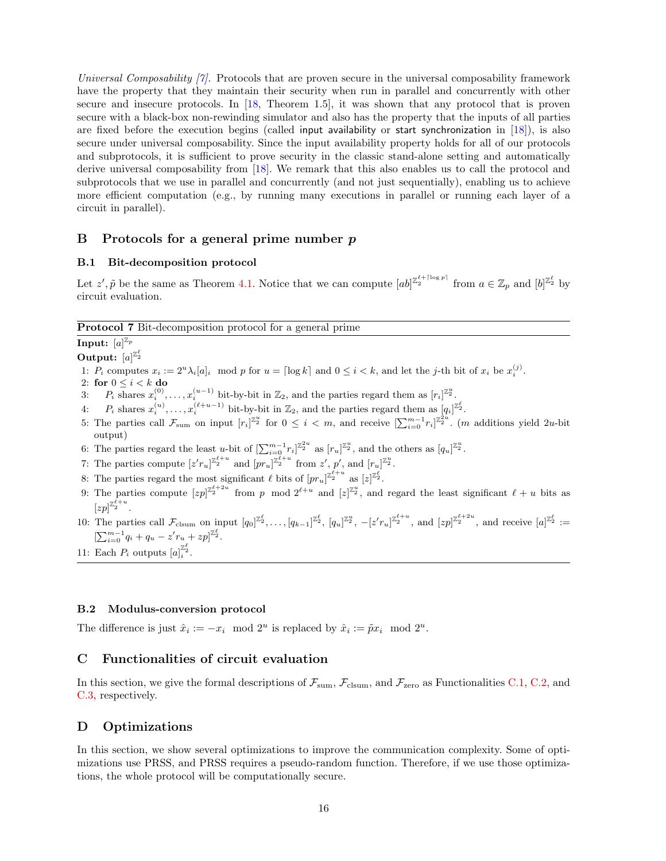*Universal Composability [[7\]](#page-12-16).* Protocols that are proven secure in the universal composability framework have the property that they maintain their security when run in parallel and concurrently with other secure and insecure protocols. In [\[18](#page-13-10), Theorem 1.5], it was shown that any protocol that is proven secure with a black-box non-rewinding simulator and also has the property that the inputs of all parties are fixed before the execution begins (called input availability or start synchronization in  $[18]$  $[18]$ ), is also secure under universal composability. Since the input availability property holds for all of our protocols and subprotocols, it is sufficient to prove security in the classic stand-alone setting and automatically derive universal composability from [[18\]](#page-13-10). We remark that this also enables us to call the protocol and subprotocols that we use in parallel and concurrently (and not just sequentially), enabling us to achieve more efficient computation (e.g., by running many executions in parallel or running each layer of a circuit in parallel).

# **B Protocols for a general prime number** *p*

## <span id="page-15-1"></span>**B.1 Bit-decomposition protocol**

Let  $z'$ ,  $\tilde{p}$  be the same as Theorem [4.1](#page-6-2). Notice that we can compute  $[ab]^{\mathbb{Z}_2^{\ell}+\lceil \log p \rceil}$  from  $a \in \mathbb{Z}_p$  and  $[b]^{\mathbb{Z}_2^{\ell}}$  by circuit evaluation.

**Protocol 7** Bit-decomposition protocol for a general prime

 $\mathbf{Input: } \; [a]^{\mathbb{Z}_p}$ 

**Output:**  $[a]^{\mathbb{Z}_2^{\ell}}$ 

1:  $P_i$  computes  $x_i := 2^u \lambda_i [a]_i \mod p$  for  $u = \lceil \log k \rceil$  and  $0 \le i < k$ , and let the *j*-th bit of  $x_i$  be  $x_i^{(j)}$ .

- 2: **for**  $0 \leq i < k$  **do**
- 3:  $P_i$  shares  $x_i^{(0)}, \ldots, x_i^{(u-1)}$  bit-by-bit in  $\mathbb{Z}_2$ , and the parties regard them as  $[r_i]^{\mathbb{Z}_2}$ .
- 4:  $P_i$  shares  $x_i^{(u)}, \ldots, x_i^{(\ell+u-1)}$  bit-by-bit in  $\mathbb{Z}_2$ , and the parties regard them as  $[q_i]^{\mathbb{Z}_2^{\ell}}$ .
- 5: The parties call  $\mathcal{F}_{sum}$  on input  $[r_i]^{\mathbb{Z}_2^u}$  for  $0 \leq i < m$ , and receive  $[\sum_{i=0}^{m-1} r_i]^{\mathbb{Z}_2^2^u}$ . (*m* additions yield 2*u*-bit output)
- 6: The parties regard the least *u*-bit of  $\left[\sum_{i=0}^{m-1} r_i\right]^{\mathbb{Z}_2^u}$  as  $[r_u]^{\mathbb{Z}_2^u}$ , and the others as  $[q_u]^{\mathbb{Z}_2^u}$ .
- 7: The parties compute  $[z'r_u]_{z_1}^{z_1^{\ell+u}}$  and  $[pr_u]_{z_2}^{z_1^{\ell+u}}$  from  $z'$ ,  $p'$ , and  $[r_u]_{z_2}^{z_2}$ .
- 8: The parties regard the most significant  $\ell$  bits of  $[pr_u]_{2}^{\mathbb{Z}_2^{\ell+u}}$  as  $[z]_{2}^{\mathbb{Z}_2^{\ell}}$ .
- 9: The parties compute  $[zp]^{z_2^{\ell+2u}}$  from *p* mod  $2^{\ell+u}$  and  $[z]^{z_2^u}$ , and regard the least significant  $\ell+u$  bits as  $[zp]^{\mathbb{Z}_2^{\ell+u}}$ .
- 10: The parties call  $\mathcal{F}_{\text{clsum}}$  on input  $[q_0]^{\mathbb{Z}_2^{\ell}}, \ldots, [q_{k-1}]^{\mathbb{Z}_2^{\ell}}$ ,  $[q_u]^{\mathbb{Z}_2^u}$ ,  $-[z'r_u]^{\mathbb{Z}_2^{\ell+1}}$ , and  $[zp]^{\mathbb{Z}_2^{\ell+2u}}$ , and receive  $[a]^{\mathbb{Z}_2^{\ell}} :=$  $[\sum_{i=0}^{m-1} q_i + q_u - z' r_u + zp]^{Z_2^{\ell}}.$
- 11: Each  $P_i$  outputs  $[a]_i^{\mathbb{Z}_2^{\ell}}$ .

### <span id="page-15-2"></span>**B.2 Modulus-conversion protocol**

The difference is just  $\hat{x}_i := -x_i \mod 2^u$  is replaced by  $\hat{x}_i := \tilde{p}x_i \mod 2^u$ .

# <span id="page-15-0"></span>**C Functionalities of circuit evaluation**

In this section, we give the formal descriptions of  $\mathcal{F}_{sum}$ ,  $\mathcal{F}_{clsum}$ , and  $\mathcal{F}_{zero}$  as Functionalities [C.1](#page-16-1), [C.2,](#page-16-2) and [C.3,](#page-17-2) respectively.

# <span id="page-15-3"></span>**D Optimizations**

In this section, we show several optimizations to improve the communication complexity. Some of optimizations use PRSS, and PRSS requires a pseudo-random function. Therefore, if we use those optimizations, the whole protocol will be computationally secure.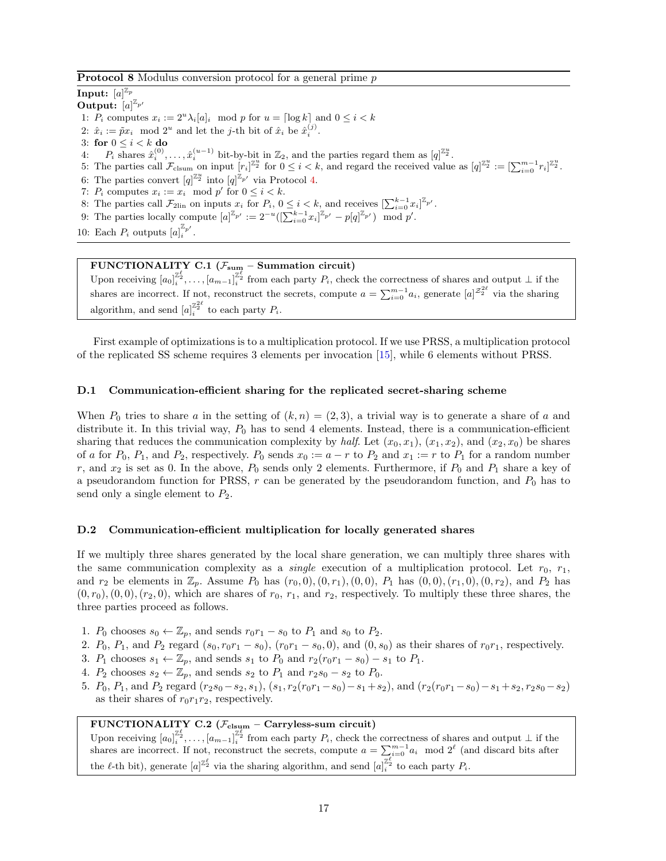#### **Protocol 8** Modulus conversion protocol for a general prime *p*

 $\mathbf{Input: } \; [a]^{\mathbb{Z}_p}$ **Output:**  $[a]^{\mathbb{Z}_{p'}}$ 1:  $P_i$  computes  $x_i := 2^u \lambda_i [a]_i \mod p$  for  $u = \lceil \log k \rceil$  and  $0 \le i \le k$ 2:  $\hat{x}_i := \tilde{p}x_i \mod 2^u$  and let the *j*-th bit of  $\hat{x}_i$  be  $\hat{x}_i^{(j)}$ . 3: for  $0 \leq i < k$  do 4:  $P_i$  shares  $\hat{x}_i^{(0)}, \ldots, \hat{x}_i^{(u-1)}$  bit-by-bit in  $\mathbb{Z}_2$ , and the parties regard them as  $[q]_{\cdot}^{\mathbb{Z}_2}$ . 5: The parties call  $\mathcal{F}_{\text{clsum}}$  on input  $[r_i]^{\mathbb{Z}_2^u}$  for  $0 \leq i < k$ , and regard the received value as  $[q]^{\mathbb{Z}_2^u} := [\sum_{i=0}^{m-1} r_i]^{\mathbb{Z}_2^u}$ . 6: The parties convert  $[q]^{\mathbb{Z}_2^u}$  into  $[q]^{\mathbb{Z}_{p'}}$  via Protocol [4.](#page-9-0) 7:  $P_i$  computes  $x_i := x_i \mod p'$  for  $0 \leq i \leq k$ . 8: The parties call  $\mathcal{F}_{2lin}$  on inputs  $x_i$  for  $P_i$ ,  $0 \leq i \leq k$ , and receives  $\left[\sum_{i=0}^{k-1} x_i\right]^{\mathbb{Z}_{p'}}$ . 9: The parties locally compute  $[a]^{\mathbb{Z}_{p'}} := 2^{-u}([\sum_{i=0}^{k-1} x_i]^{\mathbb{Z}_{p'}} - p[q]^{\mathbb{Z}_{p'}}) \mod p'.$ 

10: Each  $P_i$  outputs  $[a]_i^{\mathbb{Z}_{p'}}$ .

## <span id="page-16-1"></span>**FUNCTIONALITY C.1** ( $\mathcal{F}_{sum}$  – Summation circuit)

Upon receiving  $[a_0]_i^{\mathbb{Z}_2^{\ell}}, \ldots, [a_{m-1}]_i^{\mathbb{Z}_2^{\ell}}$  from each party  $P_i$ , check the correctness of shares and output  $\perp$  if the shares are incorrect. If not, reconstruct the secrets, compute  $a = \sum_{i=0}^{m-1} a_i$ , generate  $[a]^{z_2^{2\ell}}$  via the sharing algorithm, and send  $[a]_i^{\mathbb{Z}_2^{2\ell}}$  to each party  $P_i$ .

First example of optimizations is to a multiplication protocol. If we use PRSS, a multiplication protocol of the replicated SS scheme requires 3 elements per invocation [[15\]](#page-12-11), while 6 elements without PRSS.

### <span id="page-16-0"></span>**D.1 Communication-efficient sharing for the replicated secret-sharing scheme**

When  $P_0$  tries to share  $a$  in the setting of  $(k, n) = (2, 3)$ , a trivial way is to generate a share of  $a$  and distribute it. In this trivial way,  $P_0$  has to send 4 elements. Instead, there is a communication-efficient sharing that reduces the communication complexity by *half*. Let  $(x_0, x_1)$ ,  $(x_1, x_2)$ , and  $(x_2, x_0)$  be shares of *a* for  $P_0$ ,  $P_1$ , and  $P_2$ , respectively.  $P_0$  sends  $x_0 := a - r$  to  $P_2$  and  $x_1 := r$  to  $P_1$  for a random number  $r$ , and  $x_2$  is set as 0. In the above,  $P_0$  sends only 2 elements. Furthermore, if  $P_0$  and  $P_1$  share a key of a pseudorandom function for PRSS,  $r$  can be generated by the pseudorandom function, and  $P_0$  has to send only a single element to  $P_2$ .

### <span id="page-16-3"></span>**D.2 Communication-efficient multiplication for locally generated shares**

If we multiply three shares generated by the local share generation, we can multiply three shares with the same communication complexity as a *single* execution of a multiplication protocol. Let  $r_0$ ,  $r_1$ , and  $r_2$  be elements in  $\mathbb{Z}_p$ . Assume  $P_0$  has  $(r_0, 0), (0, r_1), (0, 0), P_1$  has  $(0, 0), (r_1, 0), (0, r_2),$  and  $P_2$  has  $(0, r_0)$ ,  $(0, 0)$ ,  $(r_2, 0)$ , which are shares of  $r_0$ ,  $r_1$ , and  $r_2$ , respectively. To multiply these three shares, the three parties proceed as follows.

- 1.  $P_0$  chooses  $s_0 \leftarrow \mathbb{Z}_p$ , and sends  $r_0r_1 s_0$  to  $P_1$  and  $s_0$  to  $P_2$ .
- 2.  $P_0$ ,  $P_1$ , and  $P_2$  regard  $(s_0, r_0r_1 s_0)$ ,  $(r_0r_1 s_0, 0)$ , and  $(0, s_0)$  as their shares of  $r_0r_1$ , respectively.
- 3. *P*<sub>1</sub> chooses  $s_1 \leftarrow \mathbb{Z}_p$ , and sends  $s_1$  to  $P_0$  and  $r_2(r_0r_1 s_0) s_1$  to  $P_1$ .
- 4. *P*<sub>2</sub> chooses  $s_2 \leftarrow \mathbb{Z}_p$ , and sends  $s_2$  to  $P_1$  and  $r_2s_0 s_2$  to  $P_0$ .
- 5.  $P_0$ ,  $P_1$ , and  $P_2$  regard  $(r_2s_0-s_2, s_1)$ ,  $(s_1, r_2(r_0r_1-s_0)-s_1+s_2)$ , and  $(r_2(r_0r_1-s_0)-s_1+s_2, r_2s_0-s_2)$ as their shares of  $r_0r_1r_2$ , respectively.

# <span id="page-16-2"></span>**FUNCTIONALITY C.2 (***F***clsum – Carryless-sum circuit)**

Upon receiving  $[a_0]_i^{\mathbb{Z}_2^{\ell}}, \ldots, [a_{m-1}]_i^{\mathbb{Z}_2^{\ell}}$  from each party  $P_i$ , check the correctness of shares and output  $\perp$  if the shares are incorrect. If not, reconstruct the secrets, compute  $a = \sum_{i=0}^{m-1} a_i \mod 2^\ell$  (and discard bits after the  $\ell$ -th bit), generate  $[a]^{Z_2^{\ell}}$  via the sharing algorithm, and send  $[a]_i^{Z_2^{\ell}}$  to each party  $P_i$ .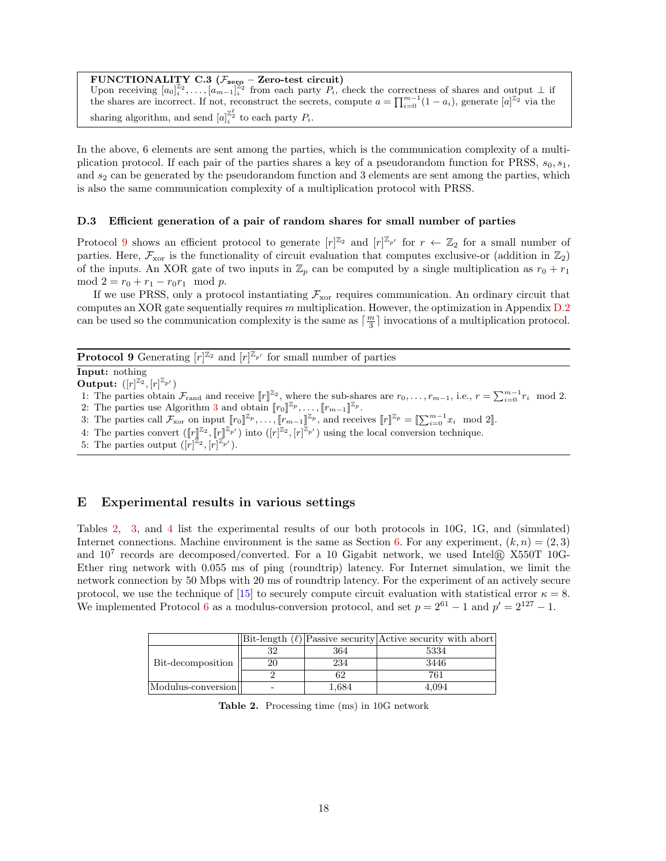<span id="page-17-2"></span>**FUNCTIONALITY C.3 (***F***zero – Zero-test circuit)** Upon receiving  $[a_0]_i^{\mathbb{Z}_2}, \ldots, [a_{m-1}]_i^{\mathbb{Z}_2}$  from each party  $P_i$ , check the correctness of shares and output  $\perp$  if the shares are incorrect. If not, reconstruct the secrets, compute  $a = \prod_{i=0}^{m-1} (1 - a_i)$ , generate  $[a]^{\mathbb{Z}_2}$  via the sharing algorithm, and send  $[a]_i^{\mathbb{Z}_2^{\ell}}$  to each party  $P_i$ .

In the above, 6 elements are sent among the parties, which is the communication complexity of a multiplication protocol. If each pair of the parties shares a key of a pseudorandom function for PRSS, *s*0*, s*1*,* and  $s_2$  can be generated by the pseudorandom function and 3 elements are sent among the parties, which is also the same communication complexity of a multiplication protocol with PRSS.

#### <span id="page-17-0"></span>**D.3 Efficient generation of a pair of random shares for small number of parties**

Protocol [9](#page-17-3) shows an efficient protocol to generate  $[r]^{\mathbb{Z}_2}$  and  $[r]^{\mathbb{Z}_{p'}}$  for  $r \leftarrow \mathbb{Z}_2$  for a small number of parties. Here,  $\mathcal{F}_{\text{xor}}$  is the functionality of circuit evaluation that computes exclusive-or (addition in  $\mathbb{Z}_2$ ) of the inputs. An XOR gate of two inputs in  $\mathbb{Z}_p$  can be computed by a single multiplication as  $r_0 + r_1$  $\text{mod } 2 = r_0 + r_1 - r_0 r_1 \mod p.$ 

If we use PRSS, only a protocol instantiating  $\mathcal{F}_{\text{xor}}$  requires communication. An ordinary circuit that computes an XOR gate sequentially requires *m* multiplication. However, the optimization in Appendix [D.2](#page-16-3) can be used so the communication complexity is the same as  $\lceil \frac{m}{3} \rceil$  invocations of a multiplication protocol.

<span id="page-17-3"></span>**Protocol 9** Generating  $[r]^{\mathbb{Z}_2}$  and  $[r]^{\mathbb{Z}_{p'}}$  for small number of parties

**Input:** nothing **Output:**  $([r]^{\mathbb{Z}_2}, [r]^{\mathbb{Z}_{p'}})$ 

1: The parties obtain  $\mathcal{F}_{\text{rand}}$  and receive  $[r]^{\mathbb{Z}_2}$ , where the sub-shares are  $r_0, \ldots, r_{m-1}$ , i.e.,  $r = \sum_{i=0}^{m-1} r_i \mod 2$ .

- 2: The parties use Algorithm [3](#page-8-0) and obtain  $[\![r_0]\!]^{\mathbb{Z}_p}, \ldots, [\![r_{m-1}]\!]^{\mathbb{Z}_p}$ .
- 3: The parties call  $\mathcal{F}_{\text{xor}}$  on input  $[r_0]^{x_p}, \ldots, [r_{m-1}]^{x_p}$ , and receives  $[r]^{\mathbb{Z}_p} = [\sum_{i=0}^{m-1} x_i \mod 2]$ .

4: The parties convert  $(\llbracket r \rrbracket^{\mathbb{Z}_2}, \llbracket r \rrbracket^{\mathbb{Z}_p}$  ( $\llbracket r \rrbracket^{\mathbb{Z}_p}$ ,  $\llbracket r \rrbracket^{\mathbb{Z}_p}$ ) using the local conversion technique.

5: The parties output  $([r]^{\mathbb{Z}_2}, [r]^{\mathbb{Z}_{p'}})$ .

# <span id="page-17-1"></span>**E Experimental results in various settings**

Tables [2,](#page-17-4) [3,](#page-18-0) and [4](#page-18-1) list the experimental results of our both protocols in 10G, 1G, and (simulated) Internet connections. Machine environment is the same as Section [6.](#page-11-1) For any experiment,  $(k, n) = (2, 3)$ and  $10^7$  records are decomposed/converted. For a 10 Gigabit network, we used Intel<sup>®</sup> X550T 10G-Ether ring network with 0.055 ms of ping (roundtrip) latency. For Internet simulation, we limit the network connection by 50 Mbps with 20 ms of roundtrip latency. For the experiment of an actively secure protocol, we use the technique of [\[15](#page-12-11)] to securely compute circuit evaluation with statistical error  $\kappa = 8$ . We implemented Protocol [6](#page-11-0) as a modulus-conversion protocol, and set  $p = 2^{61} - 1$  and  $p' = 2^{127} - 1$ .

|                    |       | $  \text{Bit-length } (\ell)  \text{Passive security}$ Active security with abort |
|--------------------|-------|-----------------------------------------------------------------------------------|
| Bit-decomposition  | 364   | 5334                                                                              |
|                    | 234   | 3446                                                                              |
|                    |       | 761                                                                               |
| Modulus-conversion | 1,684 | 4.094                                                                             |

<span id="page-17-4"></span>**Table 2.** Processing time (ms) in 10G network